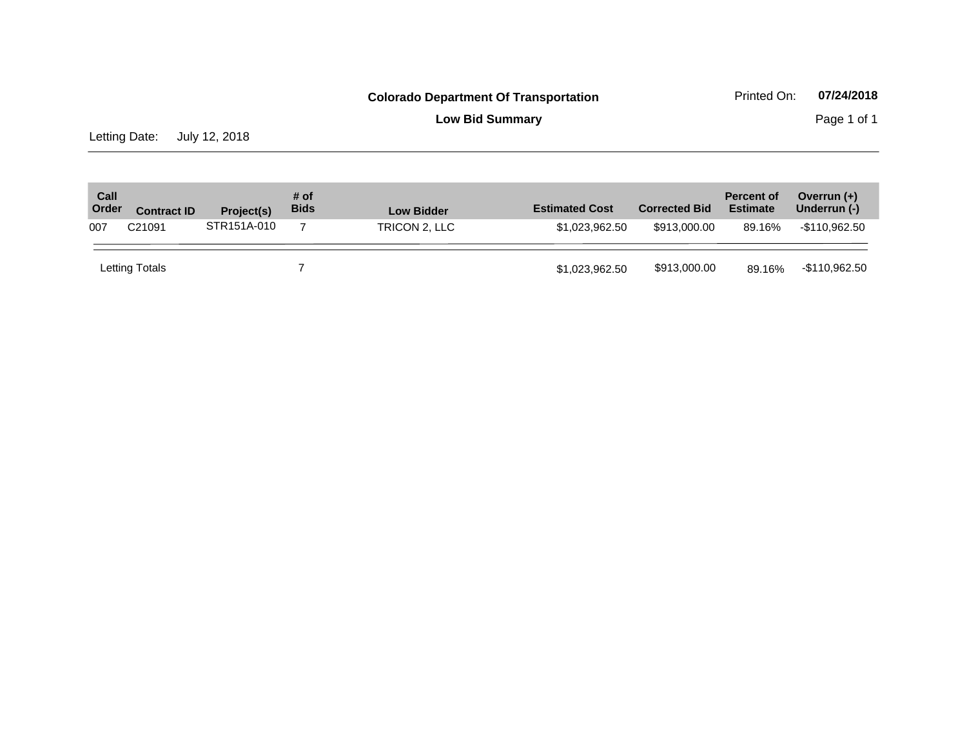**Low Bid Summary** Page 1 of 1

Letting Date: July 12, 2018

| Call<br>Order | <b>Contract ID</b> | Project(s)  | # of<br><b>Bids</b> | <b>Low Bidder</b> | <b>Estimated Cost</b> | <b>Corrected Bid</b> | <b>Percent of</b><br><b>Estimate</b> | Overrun $(+)$<br>Underrun (-) |
|---------------|--------------------|-------------|---------------------|-------------------|-----------------------|----------------------|--------------------------------------|-------------------------------|
| 007           | C <sub>21091</sub> | STR151A-010 |                     | TRICON 2, LLC     | \$1.023.962.50        | \$913,000,00         | 89.16%                               | -\$110.962.50                 |
|               | Letting Totals     |             |                     |                   | \$1,023,962.50        | \$913,000.00         | 89.16%                               | -\$110,962.50                 |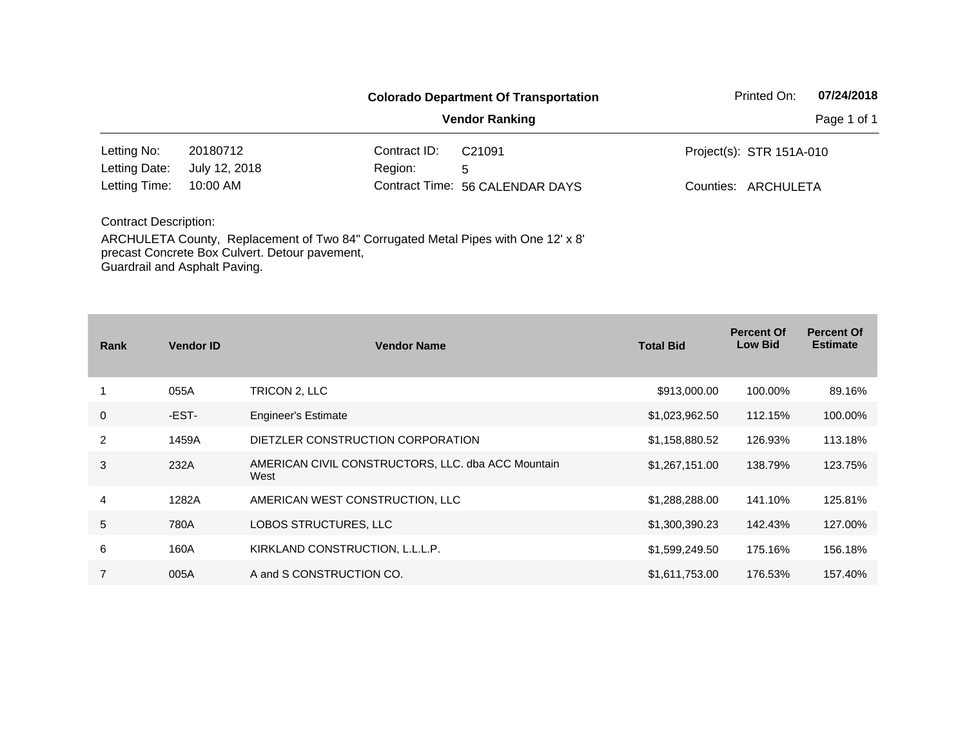|                               |                                                                                                                                     |              | <b>Colorado Department Of Transportation</b> | Printed On:              | 07/24/2018 |  |  |
|-------------------------------|-------------------------------------------------------------------------------------------------------------------------------------|--------------|----------------------------------------------|--------------------------|------------|--|--|
|                               |                                                                                                                                     | Page 1 of 1  |                                              |                          |            |  |  |
| Letting No:                   | 20180712                                                                                                                            | Contract ID: | C <sub>21091</sub>                           | Project(s): STR 151A-010 |            |  |  |
| Letting Date:                 | July 12, 2018                                                                                                                       | Region:      | 5                                            |                          |            |  |  |
| Letting Time:                 | $10:00$ AM<br>Contract Time: 56 CALENDAR DAYS                                                                                       |              |                                              | Counties: ARCHULETA      |            |  |  |
| <b>Contract Description:</b>  |                                                                                                                                     |              |                                              |                          |            |  |  |
| Guardrail and Asphalt Paving. | ARCHULETA County, Replacement of Two 84" Corrugated Metal Pipes with One 12' x 8'<br>precast Concrete Box Culvert. Detour pavement, |              |                                              |                          |            |  |  |

| Rank           | <b>Vendor ID</b> | <b>Vendor Name</b>                                         | <b>Total Bid</b> | <b>Percent Of</b><br><b>Low Bid</b> | <b>Percent Of</b><br><b>Estimate</b> |
|----------------|------------------|------------------------------------------------------------|------------------|-------------------------------------|--------------------------------------|
|                | 055A             | TRICON 2, LLC                                              | \$913,000.00     | 100.00%                             | 89.16%                               |
| $\mathbf 0$    | -EST-            | <b>Engineer's Estimate</b>                                 | \$1,023,962.50   | 112.15%                             | 100.00%                              |
| 2              | 1459A            | DIETZLER CONSTRUCTION CORPORATION                          | \$1,158,880.52   | 126.93%                             | 113.18%                              |
| 3              | 232A             | AMERICAN CIVIL CONSTRUCTORS, LLC. dba ACC Mountain<br>West | \$1,267,151.00   | 138.79%                             | 123.75%                              |
| 4              | 1282A            | AMERICAN WEST CONSTRUCTION, LLC                            | \$1,288,288.00   | 141.10%                             | 125.81%                              |
| 5              | 780A             | LOBOS STRUCTURES, LLC                                      | \$1,300,390.23   | 142.43%                             | 127.00%                              |
| 6              | 160A             | KIRKLAND CONSTRUCTION, L.L.L.P.                            | \$1,599,249.50   | 175.16%                             | 156.18%                              |
| $\overline{7}$ | 005A             | A and S CONSTRUCTION CO.                                   | \$1,611,753.00   | 176.53%                             | 157.40%                              |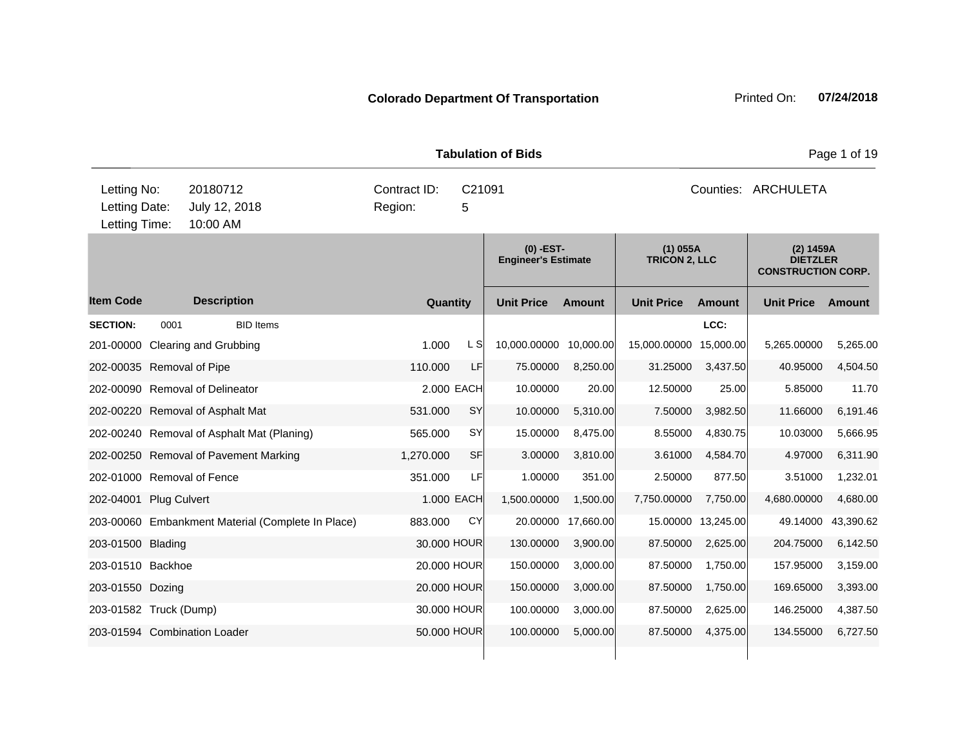| <b>Tabulation of Bids</b>                     |                     |                                                   |  |                         |             |                            |               |                                    |           | Page 1 of 19                                              |           |  |
|-----------------------------------------------|---------------------|---------------------------------------------------|--|-------------------------|-------------|----------------------------|---------------|------------------------------------|-----------|-----------------------------------------------------------|-----------|--|
| Letting No:<br>Letting Date:<br>Letting Time: |                     | 20180712<br>July 12, 2018<br>10:00 AM             |  | Contract ID:<br>Region: | C21091<br>5 |                            |               |                                    |           | Counties: ARCHULETA                                       |           |  |
|                                               |                     |                                                   |  | $(0)$ -EST-             |             | <b>Engineer's Estimate</b> |               | $(1)$ 055A<br><b>TRICON 2, LLC</b> |           | (2) 1459A<br><b>DIETZLER</b><br><b>CONSTRUCTION CORP.</b> |           |  |
| <b>Item Code</b>                              |                     | <b>Description</b>                                |  |                         | Quantity    | <b>Unit Price</b>          | <b>Amount</b> | <b>Unit Price</b>                  | Amount    | <b>Unit Price</b>                                         | Amount    |  |
| <b>SECTION:</b>                               | 0001                | <b>BID Items</b>                                  |  |                         |             |                            |               |                                    | LCC:      |                                                           |           |  |
|                                               |                     | 201-00000 Clearing and Grubbing                   |  | 1.000                   | L SI        | 10,000.00000               | 10,000.00     | 15,000.00000                       | 15,000.00 | 5,265.00000                                               | 5,265.00  |  |
| 202-00035 Removal of Pipe                     |                     |                                                   |  | 110.000                 | LF          | 75.00000                   | 8,250.00      | 31.25000                           | 3,437.50  | 40.95000                                                  | 4,504.50  |  |
|                                               |                     | 202-00090 Removal of Delineator                   |  |                         | 2.000 EACH  | 10.00000                   | 20.00         | 12.50000                           | 25.00     | 5.85000                                                   | 11.70     |  |
|                                               |                     | 202-00220 Removal of Asphalt Mat                  |  | 531.000                 | SY          | 10.00000                   | 5,310.00      | 7.50000                            | 3,982.50  | 11.66000                                                  | 6,191.46  |  |
|                                               |                     | 202-00240 Removal of Asphalt Mat (Planing)        |  | 565.000                 | <b>SY</b>   | 15.00000                   | 8,475.00      | 8.55000                            | 4,830.75  | 10.03000                                                  | 5,666.95  |  |
|                                               |                     | 202-00250 Removal of Pavement Marking             |  | 1,270.000               | SF          | 3.00000                    | 3,810.00      | 3.61000                            | 4,584.70  | 4.97000                                                   | 6,311.90  |  |
| 202-01000 Removal of Fence                    |                     |                                                   |  | 351.000                 | LF          | 1.00000                    | 351.00        | 2.50000                            | 877.50    | 3.51000                                                   | 1,232.01  |  |
| 202-04001                                     | <b>Plug Culvert</b> |                                                   |  |                         | 1.000 EACH  | 1,500.00000                | 1,500.00      | 7,750.00000                        | 7,750.00  | 4,680.00000                                               | 4,680.00  |  |
|                                               |                     | 203-00060 Embankment Material (Complete In Place) |  | 883.000                 | CY          | 20.00000                   | 17,660.00     | 15.00000                           | 13,245.00 | 49.14000                                                  | 43,390.62 |  |
| 203-01500 Blading                             |                     |                                                   |  |                         | 30.000 HOUR | 130.00000                  | 3,900.00      | 87.50000                           | 2,625.00  | 204.75000                                                 | 6,142.50  |  |
| 203-01510 Backhoe                             |                     |                                                   |  |                         | 20,000 HOUR | 150.00000                  | 3,000.00      | 87.50000                           | 1,750.00  | 157.95000                                                 | 3,159.00  |  |
| 203-01550 Dozing                              |                     |                                                   |  |                         | 20.000 HOUR | 150.00000                  | 3,000.00      | 87.50000                           | 1,750.00  | 169.65000                                                 | 3,393.00  |  |
| 203-01582 Truck (Dump)                        |                     |                                                   |  |                         | 30.000 HOUR | 100.00000                  | 3,000.00      | 87.50000                           | 2,625.00  | 146.25000                                                 | 4,387.50  |  |
|                                               |                     | 203-01594 Combination Loader                      |  |                         | 50.000 HOUR | 100.00000                  | 5,000.00      | 87.50000                           | 4,375.00  | 134.55000                                                 | 6,727.50  |  |
|                                               |                     |                                                   |  |                         |             |                            |               |                                    |           |                                                           |           |  |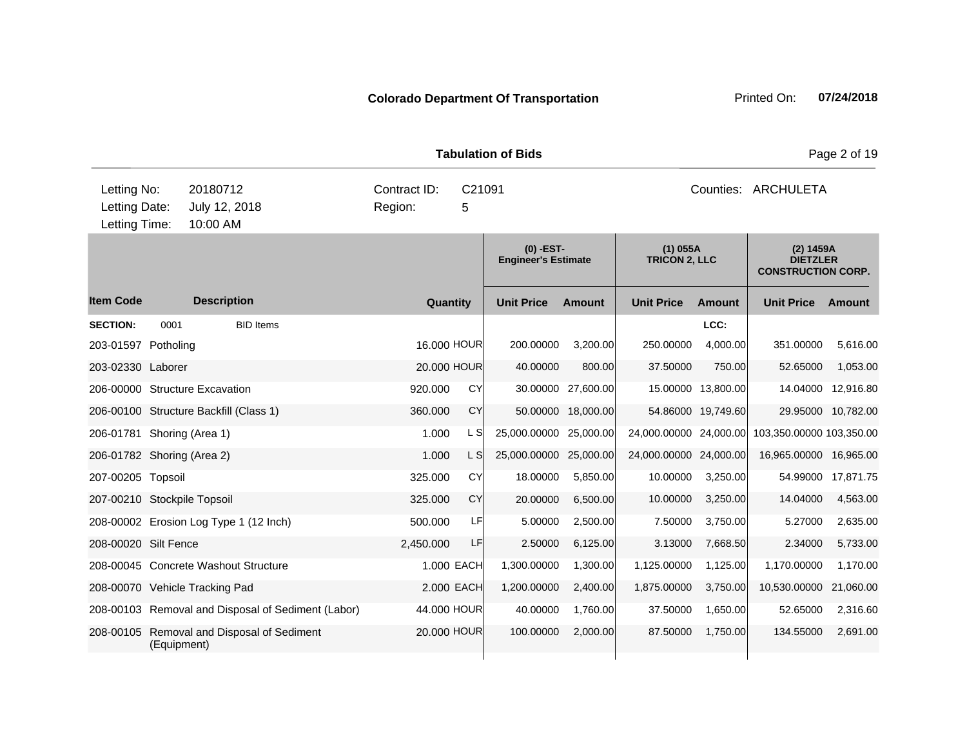| <b>Tabulation of Bids</b>                     |      |                                                    |                         |             |                                           |                    |                                    |                     | Page 2 of 19                                              |                    |  |  |
|-----------------------------------------------|------|----------------------------------------------------|-------------------------|-------------|-------------------------------------------|--------------------|------------------------------------|---------------------|-----------------------------------------------------------|--------------------|--|--|
| Letting No:<br>Letting Date:<br>Letting Time: |      | 20180712<br>July 12, 2018<br>10:00 AM              | Contract ID:<br>Region: | C21091<br>5 |                                           |                    |                                    | Counties: ARCHULETA |                                                           |                    |  |  |
|                                               |      |                                                    |                         |             | $(0)$ -EST-<br><b>Engineer's Estimate</b> |                    | $(1)$ 055A<br><b>TRICON 2, LLC</b> |                     | (2) 1459A<br><b>DIETZLER</b><br><b>CONSTRUCTION CORP.</b> |                    |  |  |
| <b>Item Code</b>                              |      | <b>Description</b>                                 |                         | Quantity    | <b>Unit Price</b>                         | <b>Amount</b>      | <b>Unit Price</b>                  | Amount              | <b>Unit Price</b>                                         | Amount             |  |  |
| <b>SECTION:</b>                               | 0001 | <b>BID</b> Items                                   |                         |             |                                           |                    |                                    | LCC:                |                                                           |                    |  |  |
| 203-01597 Potholing                           |      |                                                    |                         | 16,000 HOUR | 200.00000                                 | 3,200.00           | 250.00000                          | 4,000.00            | 351.00000                                                 | 5,616.00           |  |  |
| 203-02330 Laborer                             |      |                                                    |                         | 20.000 HOUR | 40.00000                                  | 800.00             | 37.50000                           | 750.00              | 52.65000                                                  | 1,053.00           |  |  |
| 206-00000 Structure Excavation                |      |                                                    | 920.000                 | CY          |                                           | 30.00000 27,600.00 |                                    | 15.00000 13,800.00  |                                                           | 14.04000 12,916.80 |  |  |
|                                               |      | 206-00100 Structure Backfill (Class 1)             | 360.000                 | <b>CY</b>   |                                           | 50.00000 18,000.00 |                                    | 54.86000 19,749.60  |                                                           | 29.95000 10,782.00 |  |  |
| 206-01781 Shoring (Area 1)                    |      |                                                    | 1.000                   | L S         | 25,000.00000 25,000.00                    |                    | 24,000.00000 24,000.00             |                     | 103,350.00000 103,350.00                                  |                    |  |  |
| 206-01782 Shoring (Area 2)                    |      |                                                    | 1.000                   | L S         | 25,000.00000 25,000.00                    |                    | 24,000.00000 24,000.00             |                     | 16,965.00000 16,965.00                                    |                    |  |  |
| 207-00205 Topsoil                             |      |                                                    | 325.000                 | <b>CY</b>   | 18.00000                                  | 5,850.00           | 10.00000                           | 3,250.00            |                                                           | 54.99000 17,871.75 |  |  |
| 207-00210 Stockpile Topsoil                   |      |                                                    | 325,000                 | CY          | 20.00000                                  | 6,500.00           | 10.00000                           | 3,250.00            | 14.04000                                                  | 4,563.00           |  |  |
|                                               |      | 208-00002 Erosion Log Type 1 (12 Inch)             | 500.000                 | LF          | 5.00000                                   | 2,500.00           | 7.50000                            | 3,750.00            | 5.27000                                                   | 2,635.00           |  |  |
| 208-00020 Silt Fence                          |      |                                                    | 2,450.000               | LF          | 2.50000                                   | 6,125.00           | 3.13000                            | 7,668.50            | 2.34000                                                   | 5,733.00           |  |  |
|                                               |      | 208-00045 Concrete Washout Structure               |                         | 1.000 EACH  | 1,300.00000                               | 1,300.00           | 1,125.00000                        | 1,125.00            | 1,170.00000                                               | 1,170.00           |  |  |
| 208-00070 Vehicle Tracking Pad                |      |                                                    |                         | 2.000 EACH  | 1,200.00000                               | 2,400.00           | 1,875.00000                        | 3,750.00            | 10,530.00000                                              | 21,060.00          |  |  |
|                                               |      | 208-00103 Removal and Disposal of Sediment (Labor) |                         | 44.000 HOUR | 40.00000                                  | 1,760.00           | 37.50000                           | 1,650.00            | 52.65000                                                  | 2,316.60           |  |  |
|                                               |      | 208-00105 Removal and Disposal of Sediment         |                         | 20,000 HOUR | 100.00000                                 | 2,000.00           | 87.50000                           | 1,750.00            | 134.55000                                                 | 2,691.00           |  |  |

(Equipment)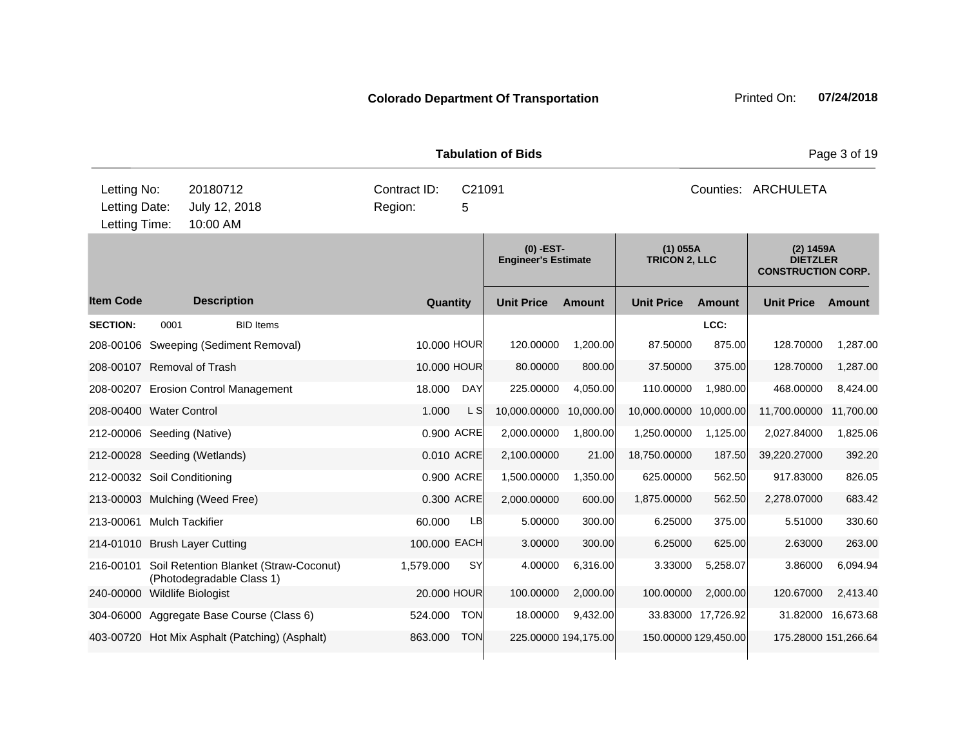|                                               |      |                                                                               |                         | <b>Tabulation of Bids</b> | Page 3 of 19                              |                      |                                    |                      |                                                           |                      |
|-----------------------------------------------|------|-------------------------------------------------------------------------------|-------------------------|---------------------------|-------------------------------------------|----------------------|------------------------------------|----------------------|-----------------------------------------------------------|----------------------|
| Letting No:<br>Letting Date:<br>Letting Time: |      | 20180712<br>July 12, 2018<br>10:00 AM                                         | Contract ID:<br>Region: | C21091<br>5               |                                           |                      | Counties: ARCHULETA                |                      |                                                           |                      |
|                                               |      |                                                                               |                         |                           | $(0)$ -EST-<br><b>Engineer's Estimate</b> |                      | $(1)$ 055A<br><b>TRICON 2, LLC</b> |                      | (2) 1459A<br><b>DIETZLER</b><br><b>CONSTRUCTION CORP.</b> |                      |
| <b>Item Code</b>                              |      | <b>Description</b>                                                            |                         | Quantity                  | <b>Unit Price</b>                         | <b>Amount</b>        | <b>Unit Price</b>                  | <b>Amount</b>        | <b>Unit Price</b>                                         | Amount               |
| <b>SECTION:</b>                               | 0001 | <b>BID</b> Items                                                              |                         |                           |                                           |                      |                                    | LCC:                 |                                                           |                      |
|                                               |      | 208-00106 Sweeping (Sediment Removal)                                         |                         | 10,000 HOUR               | 120.00000                                 | 1,200.00             | 87.50000                           | 875.00               | 128.70000                                                 | 1,287.00             |
| 208-00107 Removal of Trash                    |      |                                                                               |                         | 10.000 HOUR               | 80.00000                                  | 800.00               | 37.50000                           | 375.00               | 128.70000                                                 | 1,287.00             |
|                                               |      | 208-00207 Erosion Control Management                                          | 18.000                  | <b>DAY</b>                | 225.00000                                 | 4,050.00             | 110.00000                          | 1,980.00             | 468.00000                                                 | 8,424.00             |
| 208-00400 Water Control                       |      |                                                                               | 1.000                   | L S                       | 10,000.00000                              | 10,000.00            | 10,000.00000                       | 10,000.00            | 11,700.00000                                              | 11,700.00            |
| 212-00006 Seeding (Native)                    |      |                                                                               |                         | 0.900 ACRE                | 2,000.00000                               | 1,800.00             | 1,250.00000                        | 1,125.00             | 2,027.84000                                               | 1,825.06             |
|                                               |      | 212-00028 Seeding (Wetlands)                                                  |                         | 0.010 ACRE                | 2,100.00000                               | 21.00                | 18,750.00000                       | 187.50               | 39,220.27000                                              | 392.20               |
| 212-00032 Soil Conditioning                   |      |                                                                               |                         | 0.900 ACRE                | 1,500.00000                               | 1,350.00             | 625.00000                          | 562.50               | 917.83000                                                 | 826.05               |
|                                               |      | 213-00003 Mulching (Weed Free)                                                |                         | 0.300 ACRE                | 2,000.00000                               | 600.00               | 1,875.00000                        | 562.50               | 2,278.07000                                               | 683.42               |
| 213-00061 Mulch Tackifier                     |      |                                                                               | 60.000                  | <b>LB</b>                 | 5.00000                                   | 300.00               | 6.25000                            | 375.00               | 5.51000                                                   | 330.60               |
|                                               |      | 214-01010 Brush Layer Cutting                                                 | 100.000 EACH            |                           | 3.00000                                   | 300.00               | 6.25000                            | 625.00               | 2.63000                                                   | 263.00               |
|                                               |      | 216-00101 Soil Retention Blanket (Straw-Coconut)<br>(Photodegradable Class 1) | 1,579.000               | SY                        | 4.00000                                   | 6,316.00             | 3.33000                            | 5,258.07             | 3.86000                                                   | 6,094.94             |
| 240-00000 Wildlife Biologist                  |      |                                                                               |                         | 20.000 HOUR               | 100.00000                                 | 2,000.00             | 100.00000                          | 2,000.00             | 120.67000                                                 | 2,413.40             |
|                                               |      | 304-06000 Aggregate Base Course (Class 6)                                     | 524.000                 | <b>TON</b>                | 18.00000                                  | 9,432.00             |                                    | 33.83000 17,726.92   | 31.82000                                                  | 16,673.68            |
|                                               |      | 403-00720 Hot Mix Asphalt (Patching) (Asphalt)                                | 863.000                 | <b>TON</b>                |                                           | 225.00000 194,175.00 |                                    | 150.00000 129,450.00 |                                                           | 175.28000 151,266.64 |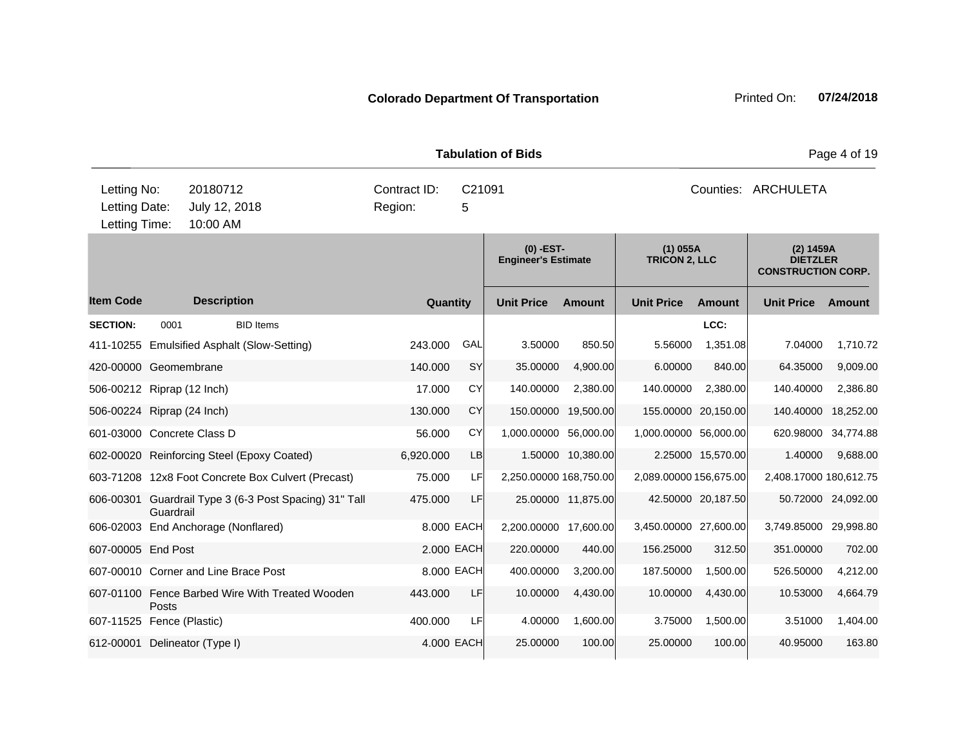|                                               |           |                                                        |                         |             | <b>Tabulation of Bids</b>                 |                    | Page 4 of 19                       |                     |                                                           |                    |  |
|-----------------------------------------------|-----------|--------------------------------------------------------|-------------------------|-------------|-------------------------------------------|--------------------|------------------------------------|---------------------|-----------------------------------------------------------|--------------------|--|
| Letting No:<br>Letting Date:<br>Letting Time: |           | 20180712<br>July 12, 2018<br>10:00 AM                  | Contract ID:<br>Region: | C21091<br>5 |                                           |                    | Counties: ARCHULETA                |                     |                                                           |                    |  |
|                                               |           |                                                        |                         |             | $(0)$ -EST-<br><b>Engineer's Estimate</b> |                    | $(1)$ 055A<br><b>TRICON 2, LLC</b> |                     | (2) 1459A<br><b>DIETZLER</b><br><b>CONSTRUCTION CORP.</b> |                    |  |
| <b>Item Code</b>                              |           | <b>Description</b>                                     | Quantity                |             | <b>Unit Price</b>                         | <b>Amount</b>      | <b>Unit Price</b>                  | <b>Amount</b>       | <b>Unit Price</b>                                         | Amount             |  |
| <b>SECTION:</b>                               | 0001      | <b>BID Items</b>                                       |                         |             |                                           |                    |                                    | LCC:                |                                                           |                    |  |
|                                               |           | 411-10255 Emulsified Asphalt (Slow-Setting)            | 243.000                 | GAL         | 3.50000                                   | 850.50             | 5.56000                            | 1,351.08            | 7.04000                                                   | 1,710.72           |  |
| 420-00000 Geomembrane                         |           |                                                        | 140.000                 | SY          | 35.00000                                  | 4,900.00           | 6.00000                            | 840.00              | 64.35000                                                  | 9,009.00           |  |
| 506-00212 Riprap (12 Inch)                    |           |                                                        | 17.000                  | <b>CY</b>   | 140.00000                                 | 2,380.00           | 140.00000                          | 2,380.00            | 140.40000                                                 | 2,386.80           |  |
| 506-00224 Riprap (24 Inch)                    |           |                                                        | 130.000                 | <b>CY</b>   | 150.00000                                 | 19,500.00          |                                    | 155.00000 20,150.00 | 140.40000                                                 | 18,252.00          |  |
| 601-03000 Concrete Class D                    |           |                                                        | 56.000                  | CY          | 1,000.00000 56,000.00                     |                    | 1,000.00000 56,000.00              |                     | 620.98000                                                 | 34,774.88          |  |
|                                               |           | 602-00020 Reinforcing Steel (Epoxy Coated)             | 6,920.000               | <b>LB</b>   |                                           | 1.50000 10,380.00  |                                    | 2.25000 15,570.00   | 1.40000                                                   | 9,688.00           |  |
|                                               |           | 603-71208 12x8 Foot Concrete Box Culvert (Precast)     | 75.000                  | LF          | 2,250.00000 168,750.00                    |                    | 2,089.00000 156,675.00             |                     | 2,408.17000 180,612.75                                    |                    |  |
|                                               | Guardrail | 606-00301 Guardrail Type 3 (6-3 Post Spacing) 31" Tall | 475.000                 | LF          |                                           | 25.00000 11,875.00 |                                    | 42.50000 20,187.50  |                                                           | 50.72000 24,092.00 |  |
|                                               |           | 606-02003 End Anchorage (Nonflared)                    |                         | 8.000 EACH  | 2,200.00000 17,600.00                     |                    | 3,450.00000 27,600.00              |                     | 3,749.85000 29,998.80                                     |                    |  |
| 607-00005 End Post                            |           |                                                        |                         | 2.000 EACH  | 220.00000                                 | 440.00             | 156.25000                          | 312.50              | 351.00000                                                 | 702.00             |  |
|                                               |           | 607-00010 Corner and Line Brace Post                   |                         | 8,000 EACH  | 400.00000                                 | 3,200.00           | 187.50000                          | 1,500.00            | 526.50000                                                 | 4,212.00           |  |
|                                               | Posts     | 607-01100 Fence Barbed Wire With Treated Wooden        | 443.000                 | LF          | 10.00000                                  | 4,430.00           | 10.00000                           | 4,430.00            | 10.53000                                                  | 4,664.79           |  |
| 607-11525 Fence (Plastic)                     |           |                                                        | 400.000                 | LF          | 4.00000                                   | 1,600.00           | 3.75000                            | 1,500.00            | 3.51000                                                   | 1,404.00           |  |
|                                               |           | 612-00001 Delineator (Type I)                          |                         | 4.000 EACH  | 25.00000                                  | 100.00             | 25.00000                           | 100.00              | 40.95000                                                  | 163.80             |  |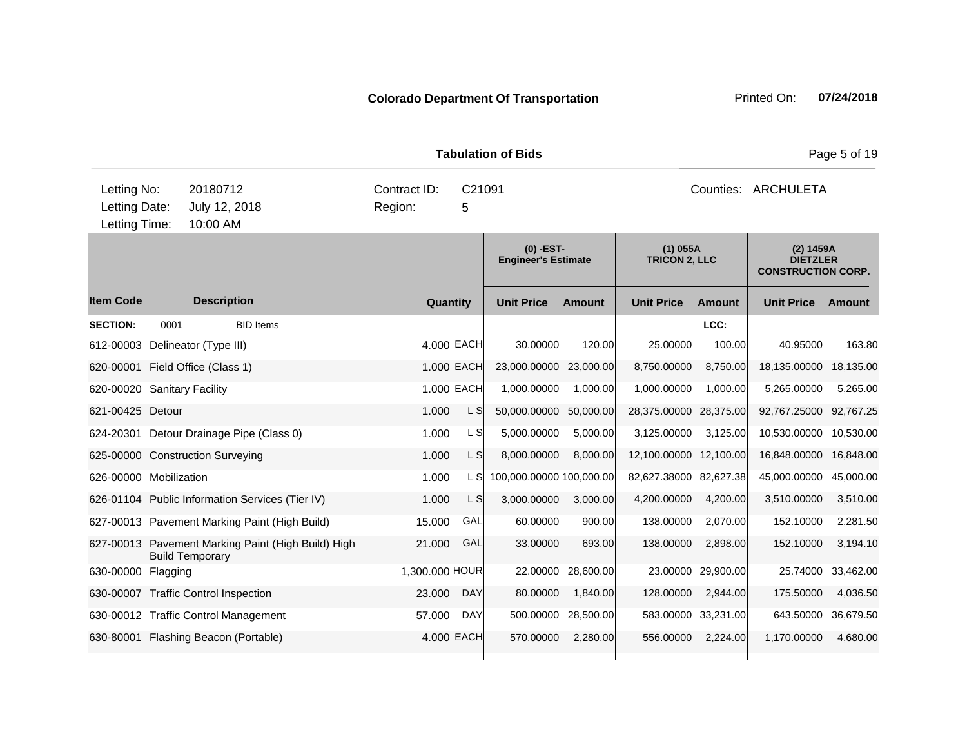|                                               |                        |                                                    |                         |             | <b>Tabulation of Bids</b>                 |           | Page 5 of 19                       |                     |                                                           |           |  |
|-----------------------------------------------|------------------------|----------------------------------------------------|-------------------------|-------------|-------------------------------------------|-----------|------------------------------------|---------------------|-----------------------------------------------------------|-----------|--|
| Letting No:<br>Letting Date:<br>Letting Time: |                        | 20180712<br>July 12, 2018<br>10:00 AM              | Contract ID:<br>Region: | C21091<br>5 |                                           |           |                                    |                     | Counties: ARCHULETA                                       |           |  |
|                                               |                        |                                                    |                         |             | $(0)$ -EST-<br><b>Engineer's Estimate</b> |           | $(1)$ 055A<br><b>TRICON 2, LLC</b> |                     | (2) 1459A<br><b>DIETZLER</b><br><b>CONSTRUCTION CORP.</b> |           |  |
| <b>Item Code</b>                              |                        | <b>Description</b>                                 | Quantity                |             | <b>Unit Price</b>                         | Amount    | <b>Unit Price</b>                  | <b>Amount</b>       | <b>Unit Price</b>                                         | Amount    |  |
| <b>SECTION:</b>                               | 0001                   | <b>BID Items</b>                                   |                         |             |                                           |           |                                    | LCC:                |                                                           |           |  |
| 612-00003                                     |                        | Delineator (Type III)                              |                         | 4.000 EACH  | 30.00000                                  | 120.00    | 25.00000                           | 100.00              | 40.95000                                                  | 163.80    |  |
|                                               |                        | 620-00001 Field Office (Class 1)                   |                         | 1.000 EACH  | 23,000.00000                              | 23,000.00 | 8,750.00000                        | 8,750.00            | 18,135.00000                                              | 18,135.00 |  |
| 620-00020 Sanitary Facility                   |                        |                                                    |                         | 1.000 EACH  | 1,000.00000                               | 1,000.00  | 1,000.00000                        | 1,000.00            | 5,265.00000                                               | 5,265.00  |  |
| 621-00425 Detour                              |                        |                                                    | 1.000                   | L S         | 50,000.00000                              | 50,000.00 | 28,375.00000 28,375.00             |                     | 92,767.25000                                              | 92,767.25 |  |
|                                               |                        | 624-20301 Detour Drainage Pipe (Class 0)           | 1.000                   | L S         | 5,000.00000                               | 5,000.00  | 3,125.00000                        | 3,125.00            | 10,530.00000                                              | 10,530.00 |  |
|                                               |                        | 625-00000 Construction Surveying                   | 1.000                   | L S         | 8,000.00000                               | 8,000.00  | 12,100.00000 12,100.00             |                     | 16,848.00000                                              | 16,848.00 |  |
| 626-00000 Mobilization                        |                        |                                                    | 1.000                   | L S         | 100,000.00000 100,000.00                  |           | 82,627.38000 82,627.38             |                     | 45,000.00000                                              | 45,000.00 |  |
|                                               |                        | 626-01104 Public Information Services (Tier IV)    | 1.000                   | L S         | 3,000.00000                               | 3,000.00  | 4,200.00000                        | 4,200.00            | 3,510.00000                                               | 3,510.00  |  |
|                                               |                        | 627-00013 Pavement Marking Paint (High Build)      | 15.000                  | GAL         | 60.00000                                  | 900.00    | 138.00000                          | 2,070.00            | 152.10000                                                 | 2,281.50  |  |
|                                               | <b>Build Temporary</b> | 627-00013 Pavement Marking Paint (High Build) High | 21.000                  | GAL         | 33.00000                                  | 693.00    | 138.00000                          | 2,898.00            | 152.10000                                                 | 3,194.10  |  |
| 630-00000 Flagging                            |                        |                                                    | 1,300.000 HOUR          |             | 22.00000                                  | 28,600.00 |                                    | 23.00000 29,900.00  | 25.74000                                                  | 33,462.00 |  |
|                                               |                        | 630-00007 Traffic Control Inspection               | 23.000                  | <b>DAY</b>  | 80.00000                                  | 1,840.00  | 128.00000                          | 2,944.00            | 175.50000                                                 | 4,036.50  |  |
|                                               |                        | 630-00012 Traffic Control Management               | 57.000                  | <b>DAY</b>  | 500.00000                                 | 28,500.00 |                                    | 583.00000 33,231.00 | 643.50000                                                 | 36,679.50 |  |
|                                               |                        | 630-80001 Flashing Beacon (Portable)               |                         | 4.000 EACH  | 570.00000                                 | 2,280.00  | 556.00000                          | 2,224.00            | 1,170.00000                                               | 4,680.00  |  |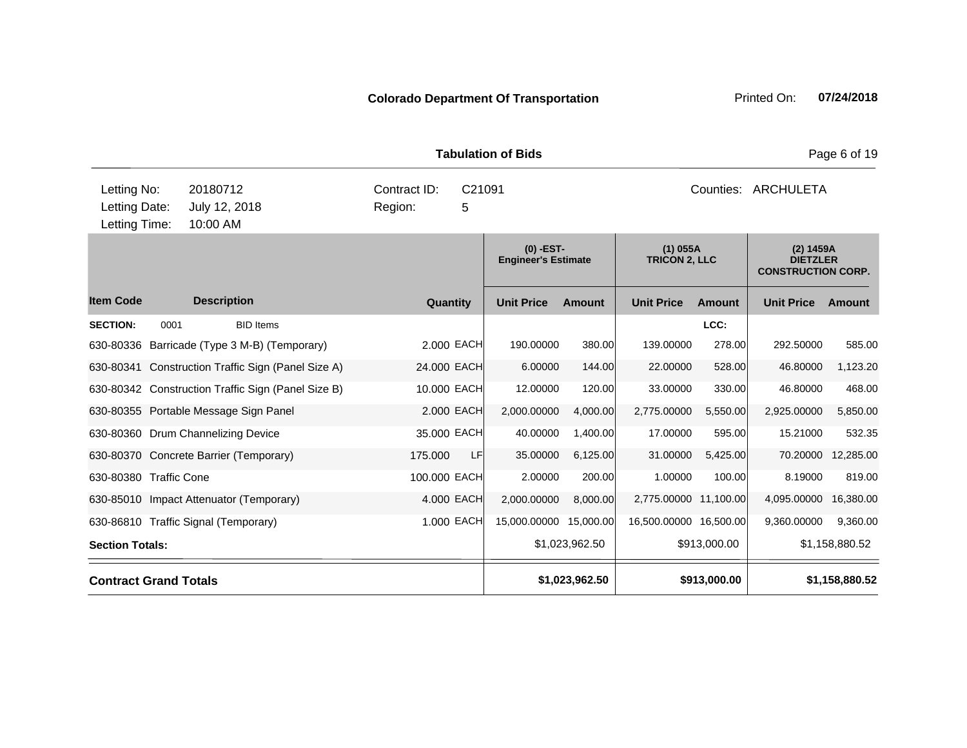| <b>Colorado Department Of Transportation</b> | Printed On: 07/24/2018 |  |
|----------------------------------------------|------------------------|--|
|                                              |                        |  |
|                                              |                        |  |

**Quantity Unit Price Unit Price Ext** Item Code Description Quantity Unit Price Amount Unit Price Amount Unit Price **Ext Unit Price Amount Ext Amount (0) -EST-Engineer's Estimate (1) 055A TRICON 2, LLC (2) 1459A DIETZLER CONSTRUCTION CORP. Description SECTION:** 0001 BID Items **LCC:** 630-80336 Barricade (Type 3 M-B) (Temporary) 2.000 EACH 190.00000 380.00 139.00000 278.00 292.50000 585.00 630-80341 Construction Traffic Sign (Panel Size A) 24.000 EACH 6.00000 144.00 22.00000 528.00 46.80000 1,123.20 630-80342 Construction Traffic Sign (Panel Size B) 10.000 EACH 12.00000 120.00 33.00000 330.00 46.80000 468.00 630-80355 Portable Message Sign Panel 2.000 EACH 2,000.00000 4,000.00 2,775.00000 5,550.00 2,925.00000 5,850.00 630-80360 Drum Channelizing Device 23 000 EACH 40.00000 1,400.00 10.0000 595.00 15821000 532.35 630-80370 Concrete Barrier (Temporary) 175.000 LF 35.00000 6,125.00 31.00000 5,425.00 70.20000 12,285.00 630-80380 Traffic Cone 100.000 EACH 2.00000 200.00 1.00000 100.00 8.19000 819.00 630-85010 Impact Attenuator (Temporary) 4.000 EACH 2,000.00000 8,000.00 2,775.00000 11,100.00 4,095.00000 16,380.00 630-86810 Traffic Signal (Temporary) 1.000 EACH 15,000.00000 15,000.00 16,500.00000 16,500.00 9,360.00000 9,360.00 **Section Totals: \$**1,023,962.50 \$913,000.00 \$1,158,880.52 **Contract Grand Totals \$1,023,962.50 \$913,000.00 \$1,158,880.52** 10:00 AM Counties: ARCHULETA Letting Date: July 12, 2018 **5** Region: 5 C21091 Region: Letting Time: Letting No: 20180712 Contract ID: Counties:

**Tabulation of Bids** Page 6 of 19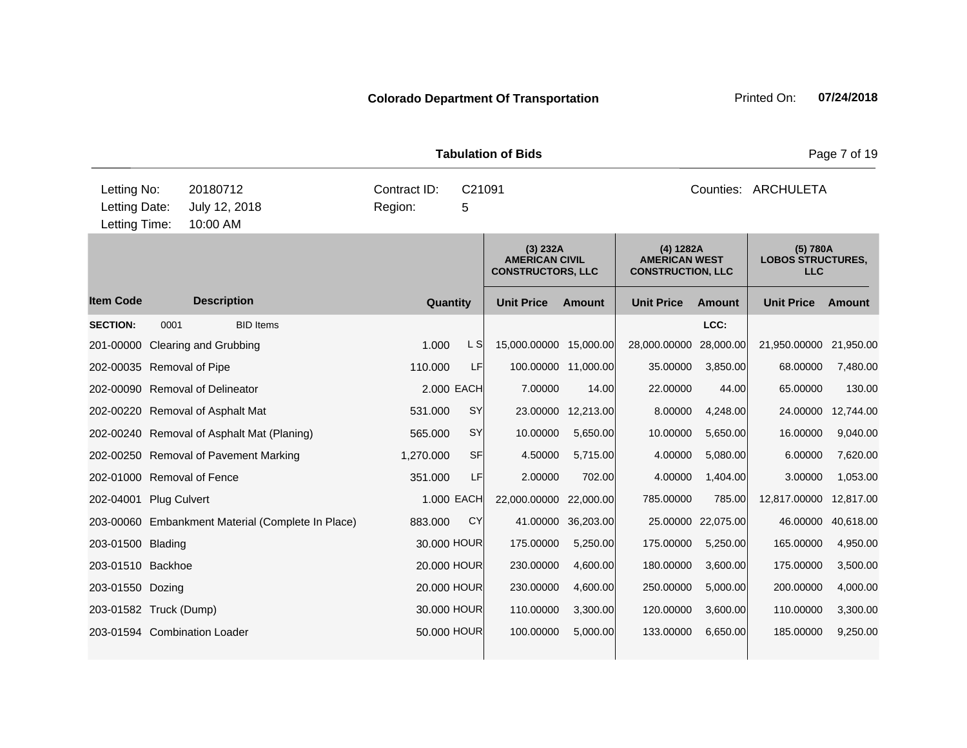**Quantity Unit Price Unit Price Item Code Amount Unit Price Amount Ext Ext Unit Price Amount Ext (3) 232A AMERICAN CIVIL CONSTRUCTORS, LLC (4) 1282A AMERICAN WEST CONSTRUCTION, LLC (5) 780A LOBOS STRUCTURES, LLC Description SECTION:** 0001 BID Items **LCC:** 201-00000 Clearing and Grubbing 2.1,950.00 Clearing and Grubbing 2.5000 1.000 L S 15,000.00000 15,000.0000 28,000.0000 28,000.00 21,950.0000 21,950.00 202-00035 Removal of Pipe 110.000 LF 100.00000 11,000.00 35.00000 3,850.00 68.00000 7,480.00 202-00090 Removal of Delineator 2.000 EACH 7.00000 14.00 22.00000 44.00 65.00000 130.00 202-00220 Removal of Asphalt Mat 531.000 SY 23.00000 12,213.00 8.00000 4,248.00 24.00000 12,744.00 202-00240 Removal of Asphalt Mat (Planing) 565.000 SY 10.00000 5,650.00 10.00000 5,650.00 16.00000 9,040.00 202-00250 Removal of Pavement Marking 1,270.000 SF 4.50000 5,715.00 4.00000 5,080.00 6.00000 7,620.00 202-01000 Removal of Fence 351.000 LF 2.00000 702.00 4.00000 1,404.00 3.00000 1,053.00 202-04001 Plug Culvert 1.000 EACH 22,000.00000 22,000.000 785.00000 785.00 12,817.00000 12,817.00 203-00060 Embankment Material (Complete In Place) 883.000 CY 41.00000 36,203.00 25.00000 22,075.00 46.00000 40,618.00 203-01500 Blading 30.000 HOUR 175.00000 5,250.00 175.00000 5,250.00 165.00000 4,950.00 203-01510 Backhoe 20.000 HOUR 230.00000 4,600.00 180.00000 3,600.00 175.00000 3,500.00 203-01550 Dozing 20.000 HOUR 230.00000 4,600.00 250.00000 5,000.00 200.00000 4,000.00 203-01582 Truck (Dump) 30.000 HOUR 110.00000 3,300.00 120.00000 3,600.00 110.00000 3,300.00 203-01594 Combination Loader 50.000 HOUR 100.00000 5,000.00 133.00000 6,650.00 185.00000 9,250.00 **Tabulation of Bids Page 7 of 19** 10:00 AM Counties: ARCHULETA Letting Date: July 12, 2018 **5** Region: 5 C21091 Region: Letting Time: Letting No: 20180712 Contract ID: Counties: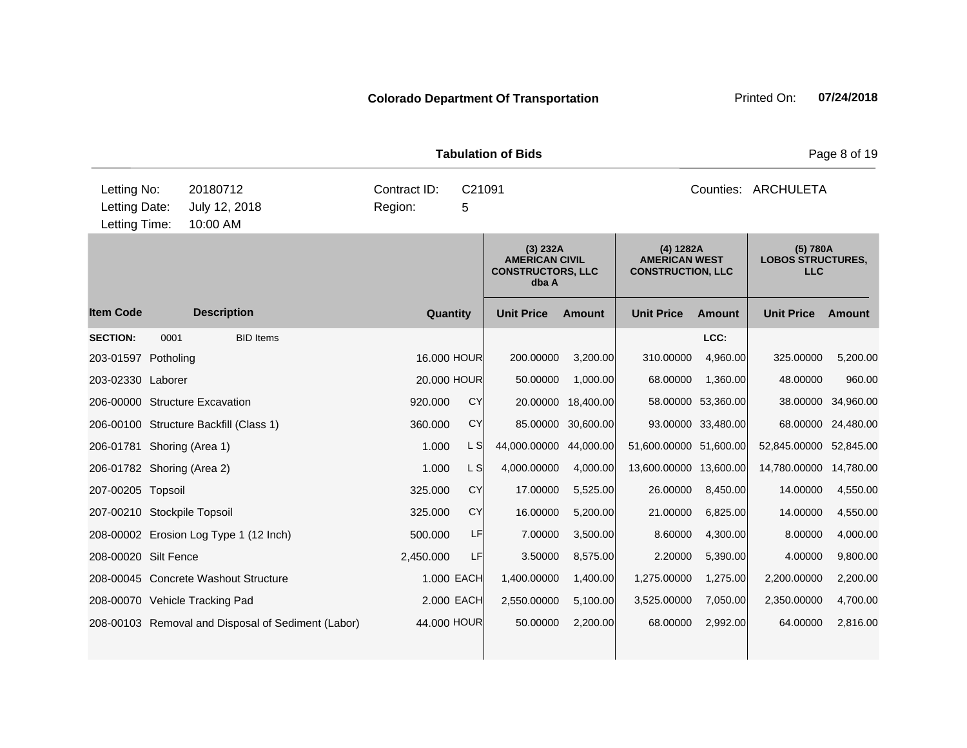| <b>Tabulation of Bids</b> |                                                                                                                                                                                                                                                                                                                                                                                                              |     |                                                                        |                       |                                                               |                                                                                                                                                             |                                                                                          |                                                                                         |  |
|---------------------------|--------------------------------------------------------------------------------------------------------------------------------------------------------------------------------------------------------------------------------------------------------------------------------------------------------------------------------------------------------------------------------------------------------------|-----|------------------------------------------------------------------------|-----------------------|---------------------------------------------------------------|-------------------------------------------------------------------------------------------------------------------------------------------------------------|------------------------------------------------------------------------------------------|-----------------------------------------------------------------------------------------|--|
|                           | Contract ID:<br>Region:                                                                                                                                                                                                                                                                                                                                                                                      | 5   |                                                                        |                       |                                                               |                                                                                                                                                             |                                                                                          |                                                                                         |  |
|                           |                                                                                                                                                                                                                                                                                                                                                                                                              |     | (3) 232A<br><b>AMERICAN CIVIL</b><br><b>CONSTRUCTORS, LLC</b><br>dba A |                       | (4) 1282A<br><b>AMERICAN WEST</b><br><b>CONSTRUCTION, LLC</b> |                                                                                                                                                             | (5) 780A<br><b>LOBOS STRUCTURES,</b><br><b>LLC</b>                                       |                                                                                         |  |
|                           |                                                                                                                                                                                                                                                                                                                                                                                                              |     | <b>Unit Price</b>                                                      | <b>Amount</b>         | <b>Unit Price</b>                                             | Amount                                                                                                                                                      | <b>Unit Price</b>                                                                        | Amount                                                                                  |  |
| <b>BID Items</b>          |                                                                                                                                                                                                                                                                                                                                                                                                              |     |                                                                        |                       |                                                               | LCC:                                                                                                                                                        |                                                                                          |                                                                                         |  |
|                           |                                                                                                                                                                                                                                                                                                                                                                                                              |     | 200.00000                                                              |                       | 310.00000                                                     |                                                                                                                                                             | 325.00000                                                                                | 5,200.00                                                                                |  |
|                           |                                                                                                                                                                                                                                                                                                                                                                                                              |     | 50.00000                                                               |                       | 68.00000                                                      |                                                                                                                                                             | 48.00000                                                                                 | 960.00                                                                                  |  |
|                           | 920.000                                                                                                                                                                                                                                                                                                                                                                                                      | CY  |                                                                        |                       |                                                               |                                                                                                                                                             |                                                                                          | 38.00000 34,960.00                                                                      |  |
|                           | 360,000                                                                                                                                                                                                                                                                                                                                                                                                      | CY  |                                                                        |                       |                                                               |                                                                                                                                                             |                                                                                          | 68.00000 24,480.00                                                                      |  |
|                           | 1.000                                                                                                                                                                                                                                                                                                                                                                                                        | L S |                                                                        |                       |                                                               |                                                                                                                                                             | 52,845.00000 52,845.00                                                                   |                                                                                         |  |
|                           | 1.000                                                                                                                                                                                                                                                                                                                                                                                                        | L S | 4,000.00000                                                            |                       |                                                               |                                                                                                                                                             | 14,780.00000 14,780.00                                                                   |                                                                                         |  |
|                           | 325.000                                                                                                                                                                                                                                                                                                                                                                                                      | CY  | 17.00000                                                               |                       | 26.00000                                                      | 8,450.00                                                                                                                                                    | 14.00000                                                                                 | 4,550.00                                                                                |  |
|                           | 325.000                                                                                                                                                                                                                                                                                                                                                                                                      | CY  | 16.00000                                                               |                       | 21.00000                                                      | 6,825.00                                                                                                                                                    | 14.00000                                                                                 | 4,550.00                                                                                |  |
|                           | 500.000                                                                                                                                                                                                                                                                                                                                                                                                      | LF  | 7.00000                                                                |                       | 8.60000                                                       | 4,300.00                                                                                                                                                    | 8.00000                                                                                  | 4,000.00                                                                                |  |
|                           | 2,450.000                                                                                                                                                                                                                                                                                                                                                                                                    | LF  | 3.50000                                                                |                       | 2.20000                                                       |                                                                                                                                                             | 4.00000                                                                                  | 9,800.00                                                                                |  |
|                           |                                                                                                                                                                                                                                                                                                                                                                                                              |     | 1,400.00000                                                            |                       | 1,275.00000                                                   |                                                                                                                                                             | 2,200.00000                                                                              | 2,200.00                                                                                |  |
|                           |                                                                                                                                                                                                                                                                                                                                                                                                              |     | 2,550.00000                                                            |                       | 3,525.00000                                                   | 7,050.00                                                                                                                                                    | 2,350.00000                                                                              | 4,700.00                                                                                |  |
|                           |                                                                                                                                                                                                                                                                                                                                                                                                              |     | 50.00000                                                               |                       | 68.00000                                                      | 2,992.00                                                                                                                                                    | 64.00000                                                                                 | 2,816.00                                                                                |  |
|                           | 20180712<br>July 12, 2018<br>10:00 AM<br><b>Description</b><br>206-00000 Structure Excavation<br>206-00100 Structure Backfill (Class 1)<br>206-01781 Shoring (Area 1)<br>206-01782 Shoring (Area 2)<br>207-00210 Stockpile Topsoil<br>208-00002 Erosion Log Type 1 (12 Inch)<br>208-00045 Concrete Washout Structure<br>208-00070 Vehicle Tracking Pad<br>208-00103 Removal and Disposal of Sediment (Labor) |     | Quantity<br>20.000 HOUR<br>1.000 EACH<br>2.000 EACH<br>44.000 HOUR     | C21091<br>16,000 HOUR | 20.00000<br>85.00000<br>44,000.00000                          | 3,200.00<br>1,000.00<br>18,400.00<br>30,600.00<br>44,000.00<br>4,000.00<br>5,525.00<br>5,200.00<br>3,500.00<br>8,575.00<br>1,400.00<br>5,100.00<br>2,200.00 | 4,960.00<br>1,360.00<br>58.00000 53,360.00<br>93.00000 33,480.00<br>5,390.00<br>1,275.00 | Page 8 of 19<br>Counties: ARCHULETA<br>51,600.00000 51,600.00<br>13,600.00000 13,600.00 |  |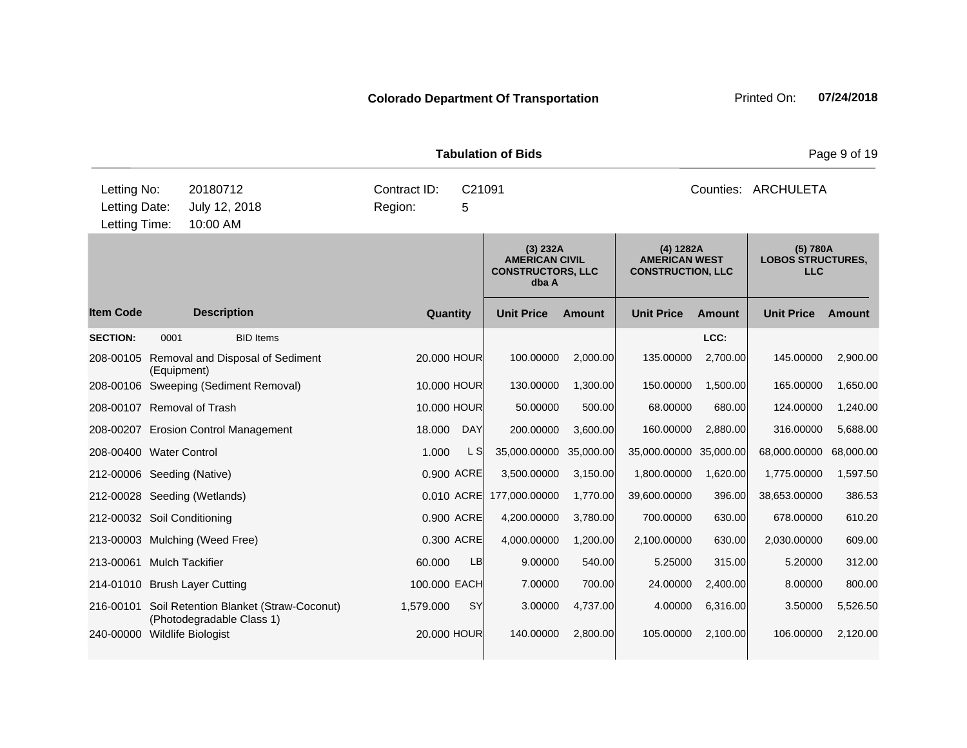**Quantity Unit Price Unit Price Item Code Amount Unit Price Amount Ext Ext Unit Price Amount Ext (3) 232A AMERICAN CIVIL CONSTRUCTORS, LLC dba A (4) 1282A AMERICAN WEST CONSTRUCTION, LLC (5) 780A LOBOS STRUCTURES, LLC Description SECTION:** 0001 BID Items **LCC:** 208-00105 Removal and Disposal of Sediment (Equipment) 20.000 HOUR 100.00000 2,000.00 135.00000 2,700.00 145.00000 2,900.00 208-00106 Sweeping (Sediment Removal) 10.000 HOUR 130.00000 1,300.00 150.00000 1,500.00 165.00000 1,650.00 208-00107 Removal of Trash 10.000 HOUR 50.00000 500.00 68.00000 680.00 124.00000 1,240.00 208-00207 Erosion Control Management 18.000 DAY 200.00000 3,600.00 160.00000 2,880.00 316.00000 5,688.00 208-00400 Water Control 1.000 L S 35,000.00000 35,000.00 35,000.00000 35,000.00 68,000.00000 68,000.00 212-00006 Seeding (Native) 0.900 ACRE 3,500.00000 3,150.00 1,800.00000 1,620.00 1,775.00000 1,597.50 212-00028 Seeding (Wetlands) 0.010 ACRE 177,000.00000 1,770.00 39,600.00000 396.00 38,653.00000 386.53 212-00032 Soil Conditioning 0.900 ACRE 4,200.00000 3,780.00 700.00000 630.00 678.00000 610.20 213-00003 Mulching (Weed Free) 0.300 ACRE 4,000.00000 1,200.00 2,100.00000 630.00 2,030.00000 609.00 213-00061 Mulch Tackifier 60.000 LB 9.00000 540.00 5.25000 315.00 5.20000 312.00 214-01010 Brush Layer Cutting 100.000 EACH 7.00000 700.00 24.00000 2,400.00 8.00000 800.00 216-00101 Soil Retention Blanket (Straw-Coconut) (Photodegradable Class 1) 1,579.000 SY 3.00000 4,737.00 4.00000 6,316.00 3.50000 5,526.50 240-00000 Wildlife Biologist 20.000 HOUR 140.00000 2,800.00 105.00000 2,100.00 106.00000 2,120.00 **Tabulation of Bids Page 9 of 19** 10:00 AM Counties: ARCHULETA Letting Date: July 12, 2018 **5** Region: 5 C21091 Region: Letting Time: Letting No: 20180712 Contract ID: Counties: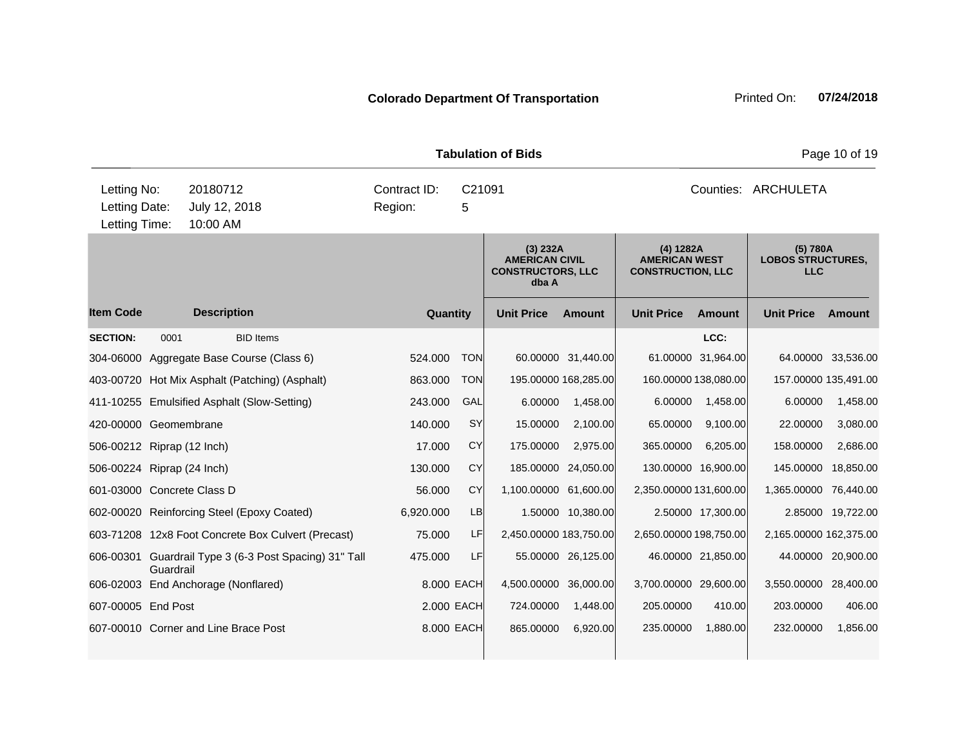| <b>Tabulation of Bids</b>                     |           |                                       |                                                        |                         |            |             |                                                                        |                      | Page 10 of 19                                                 |                      |                                                    |                    |
|-----------------------------------------------|-----------|---------------------------------------|--------------------------------------------------------|-------------------------|------------|-------------|------------------------------------------------------------------------|----------------------|---------------------------------------------------------------|----------------------|----------------------------------------------------|--------------------|
| Letting No:<br>Letting Date:<br>Letting Time: |           | 20180712<br>July 12, 2018<br>10:00 AM |                                                        | Contract ID:<br>Region: |            | C21091<br>5 |                                                                        |                      |                                                               |                      | Counties: ARCHULETA                                |                    |
|                                               |           |                                       |                                                        |                         |            |             | (3) 232A<br><b>AMERICAN CIVIL</b><br><b>CONSTRUCTORS, LLC</b><br>dba A |                      | (4) 1282A<br><b>AMERICAN WEST</b><br><b>CONSTRUCTION, LLC</b> |                      | (5) 780A<br><b>LOBOS STRUCTURES,</b><br><b>LLC</b> |                    |
| <b>Item Code</b>                              |           | <b>Description</b>                    |                                                        |                         | Quantity   |             | <b>Unit Price</b>                                                      | Amount               | <b>Unit Price</b>                                             | Amount               | <b>Unit Price</b>                                  | Amount             |
| <b>SECTION:</b>                               | 0001      |                                       | <b>BID Items</b>                                       |                         |            |             |                                                                        |                      |                                                               | LCC:                 |                                                    |                    |
|                                               |           |                                       | 304-06000 Aggregate Base Course (Class 6)              |                         | 524.000    | <b>TON</b>  |                                                                        | 60.00000 31,440.00   |                                                               | 61.00000 31,964.00   |                                                    | 64.00000 33,536.00 |
|                                               |           |                                       | 403-00720 Hot Mix Asphalt (Patching) (Asphalt)         |                         | 863.000    | <b>TON</b>  |                                                                        | 195.00000 168,285.00 |                                                               | 160.00000 138,080.00 | 157.00000 135,491.00                               |                    |
|                                               |           |                                       | 411-10255 Emulsified Asphalt (Slow-Setting)            |                         | 243.000    | GAL         | 6.00000                                                                | 1,458.00             | 6.00000                                                       | 1,458.00             | 6.00000                                            | 1,458.00           |
| 420-00000 Geomembrane                         |           |                                       |                                                        |                         | 140.000    | <b>SY</b>   | 15.00000                                                               | 2,100.00             | 65.00000                                                      | 9,100.00             | 22.00000                                           | 3,080.00           |
| 506-00212 Riprap (12 Inch)                    |           |                                       |                                                        |                         | 17.000     | CY          | 175.00000                                                              | 2,975.00             | 365.00000                                                     | 6,205.00             | 158.00000                                          | 2,686.00           |
| 506-00224 Riprap (24 Inch)                    |           |                                       |                                                        |                         | 130,000    | CY          |                                                                        | 185.00000 24,050.00  |                                                               | 130.00000 16,900.00  | 145.00000 18,850.00                                |                    |
| 601-03000 Concrete Class D                    |           |                                       |                                                        |                         | 56.000     | CY          | 1,100.00000                                                            | 61,600.00            | 2,350.00000 131,600.00                                        |                      | 1,365.00000 76,440.00                              |                    |
|                                               |           |                                       | 602-00020 Reinforcing Steel (Epoxy Coated)             |                         | 6,920.000  | LB          |                                                                        | 1.50000 10,380.00    |                                                               | 2.50000 17,300.00    |                                                    | 2.85000 19,722.00  |
|                                               |           |                                       | 603-71208 12x8 Foot Concrete Box Culvert (Precast)     |                         | 75.000     | LF          | 2,450.00000 183,750.00                                                 |                      | 2,650.00000 198,750.00                                        |                      | 2,165.00000 162,375.00                             |                    |
|                                               | Guardrail |                                       | 606-00301 Guardrail Type 3 (6-3 Post Spacing) 31" Tall |                         | 475.000    | LF          |                                                                        | 55.00000 26,125.00   |                                                               | 46.00000 21,850.00   |                                                    | 44.00000 20,900.00 |
| 606-02003 End Anchorage (Nonflared)           |           |                                       |                                                        |                         | 8.000 EACH |             | 4,500.00000 36,000.00                                                  |                      | 3,700.00000 29,600.00                                         |                      | 3,550.00000 28,400.00                              |                    |
| 607-00005 End Post                            |           |                                       |                                                        |                         | 2.000 EACH |             | 724.00000                                                              | 1,448.00             | 205.00000                                                     | 410.00               | 203.00000                                          | 406.00             |
|                                               |           |                                       | 607-00010 Corner and Line Brace Post                   |                         | 8.000 EACH |             | 865.00000                                                              | 6,920.00             | 235.00000                                                     | 1,880.00             | 232.00000                                          | 1,856.00           |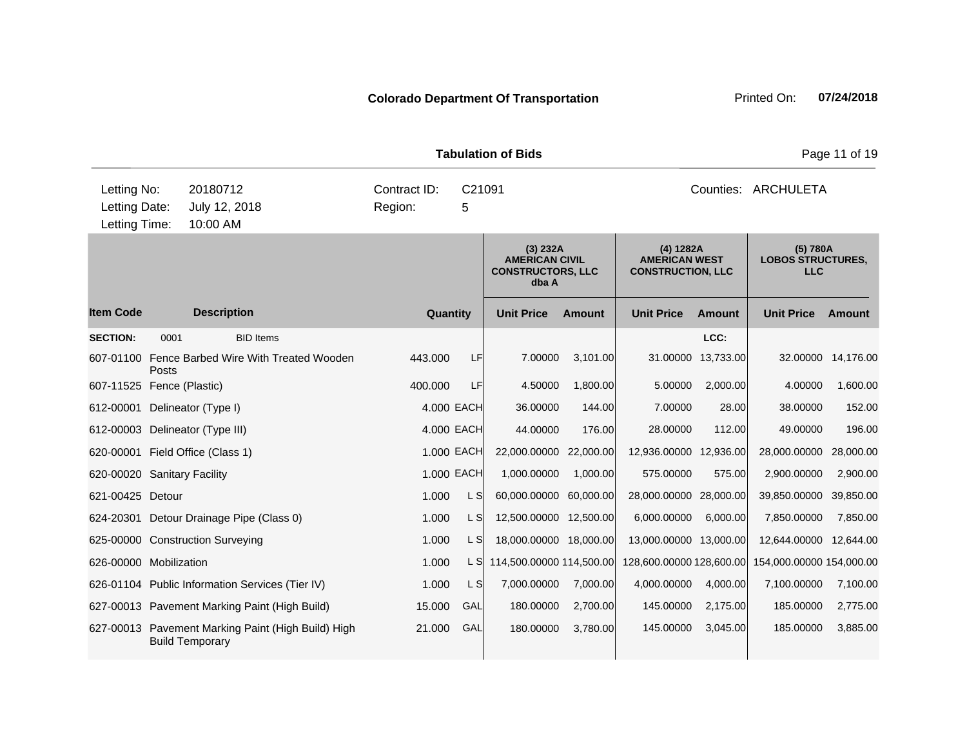**Quantity Unit Price Unit Price Item Code Amount Unit Price Amount Ext Ext Unit Price Amount Ext (3) 232A AMERICAN CIVIL CONSTRUCTORS, LLC dba A (4) 1282A AMERICAN WEST CONSTRUCTION, LLC (5) 780A LOBOS STRUCTURES, LLC Description SECTION:** 0001 BID Items **LCC:** 607-01100 Fence Barbed Wire With Treated Wooden Posts 443.000 LF 7.00000 3,101.00 31.00000 13,733.00 32.00000 14,176.00 607-11525 Fence (Plastic) 400.000 LF 4.50000 1,800.00 5.00000 2,000.00 4.00000 1,600.00 612-00001 Delineator (Type I) 4.000 EACH 36.00000 144.00 7.00000 28.00 38.00000 152.00 612-00003 Delineator (Type III) 4.000 EACH 44.00000 176.00 28.00000 112.00 49.00000 196.00 620-00001 Field Office (Class 1) 1.000 EACH 22,000.00000 22,000.00 12,936.00000 12,936.00 28,000.00000 28,000.00 620-00020 Sanitary Facility 1.000 EACH 1,000.00000 1,000.00 575.00000 575.00 2,900.00000 2,900.00 621-00425 Detour 1.000 L S 60,000.00000 60,000.00 28,000.00000 28,000.00 39,850.00000 39,850.00 624-20301 Detour Drainage Pipe (Class 0)  $1.000$  L S  $12,500.00000$  12,500.000 6,000.0000 6,000.00 7,850.0000 7,850.00 625-00000 Construction Surveying 1.000 L S 18,000.00000 18,000.00 13,000.00000 13,000.00 12,644.00000 12,644.00 626-00000 Mobilization 1.000 L S 114,500.00000 114,500.00 128,600.0000 128,600.00 154,000.0000 154,000.00 154,000 626-01104 Public Information Services (Tier IV) 1.000 L S 7,000.00000 7,000.00 4,000.00000 4,000.00 7,100.00000 7,100.00 627-00013 Pavement Marking Paint (High Build) 15.000 GAL 180.00000 2,700.00 145.00000 2,175.00 185.00000 2,775.00 627-00013 Pavement Marking Paint (High Build) High Build Temporary 21.000 GAL 180.00000 3,780.00 145.00000 3,045.00 185.00000 3,885.00 **Tabulation of Bids Page 11 of 19 Page 11 of 19** 10:00 AM Counties: ARCHULETA Letting Date: July 12, 2018 **5** Region: 5 C21091 Region: Letting Time: Letting No: 20180712 Contract ID: Counties: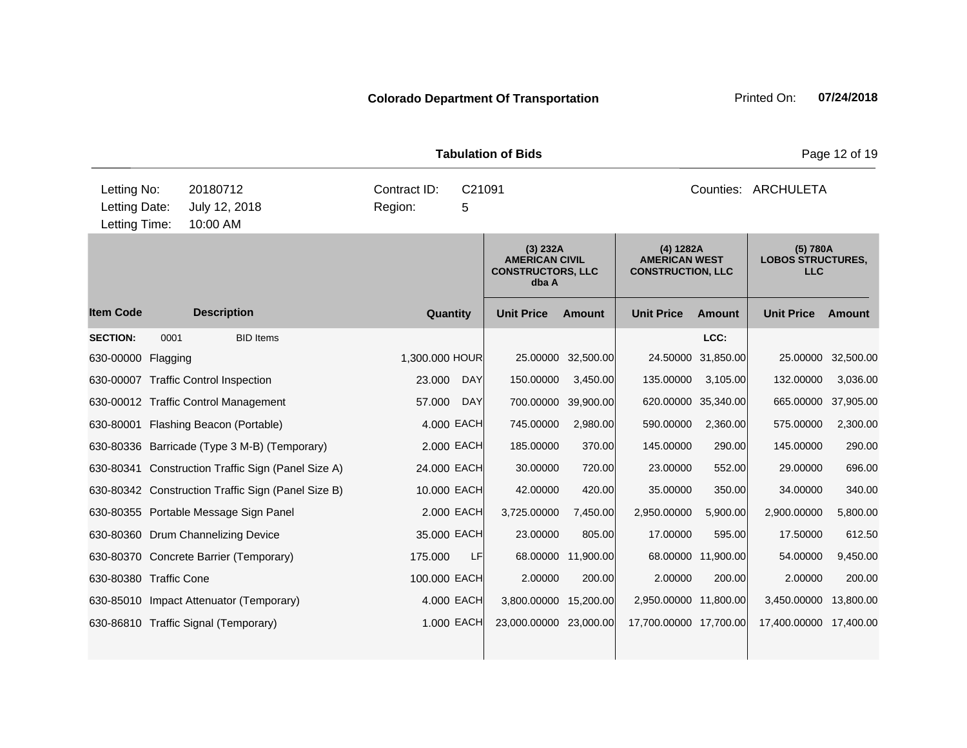| <b>Tabulation of Bids</b>    |                           |                                                    |                                        |            |                                                                        |               |                                                               |                     | Page 12 of 19                                      |                    |  |  |
|------------------------------|---------------------------|----------------------------------------------------|----------------------------------------|------------|------------------------------------------------------------------------|---------------|---------------------------------------------------------------|---------------------|----------------------------------------------------|--------------------|--|--|
| Letting No:<br>Letting Date: | 20180712<br>July 12, 2018 |                                                    | Contract ID:<br>C21091<br>Region:<br>5 |            |                                                                        |               |                                                               | Counties: ARCHULETA |                                                    |                    |  |  |
| Letting Time:                |                           | 10:00 AM                                           |                                        |            |                                                                        |               |                                                               |                     |                                                    |                    |  |  |
|                              |                           |                                                    |                                        |            | (3) 232A<br><b>AMERICAN CIVIL</b><br><b>CONSTRUCTORS, LLC</b><br>dba A |               | (4) 1282A<br><b>AMERICAN WEST</b><br><b>CONSTRUCTION, LLC</b> |                     | (5) 780A<br><b>LOBOS STRUCTURES,</b><br><b>LLC</b> |                    |  |  |
| <b>Item Code</b>             |                           | <b>Description</b>                                 | Quantity                               |            | <b>Unit Price</b>                                                      | <b>Amount</b> | <b>Unit Price</b>                                             | <b>Amount</b>       | <b>Unit Price</b>                                  | Amount             |  |  |
| <b>SECTION:</b>              | 0001                      | <b>BID Items</b>                                   |                                        |            |                                                                        |               |                                                               | LCC:                |                                                    |                    |  |  |
| 630-00000 Flagging           |                           |                                                    | 1,300.000 HOUR                         |            | 25.00000                                                               | 32,500.00     | 24.50000                                                      | 31,850.00           |                                                    | 25.00000 32,500.00 |  |  |
|                              |                           | 630-00007 Traffic Control Inspection               | 23.000                                 | <b>DAY</b> | 150.00000                                                              | 3,450.00      | 135.00000                                                     | 3,105.00            | 132.00000                                          | 3,036.00           |  |  |
|                              |                           | 630-00012 Traffic Control Management               | 57.000                                 | <b>DAY</b> | 700.00000                                                              | 39,900.00     |                                                               | 620.00000 35,340.00 | 665.00000 37,905.00                                |                    |  |  |
|                              |                           | 630-80001 Flashing Beacon (Portable)               | 4.000 EACH                             |            | 745.00000                                                              | 2,980.00      | 590.00000                                                     | 2,360.00            | 575.00000                                          | 2,300.00           |  |  |
|                              |                           | 630-80336 Barricade (Type 3 M-B) (Temporary)       | 2.000 EACH                             |            | 185.00000                                                              | 370.00        | 145.00000                                                     | 290.00              | 145.00000                                          | 290.00             |  |  |
|                              |                           | 630-80341 Construction Traffic Sign (Panel Size A) | 24.000 EACH                            |            | 30.00000                                                               | 720.00        | 23.00000                                                      | 552.00              | 29.00000                                           | 696.00             |  |  |
|                              |                           | 630-80342 Construction Traffic Sign (Panel Size B) | 10.000 EACH                            |            | 42.00000                                                               | 420.00        | 35.00000                                                      | 350.00              | 34.00000                                           | 340.00             |  |  |
|                              |                           | 630-80355 Portable Message Sign Panel              | 2.000 EACH                             |            | 3,725.00000                                                            | 7,450.00      | 2,950.00000                                                   | 5,900.00            | 2,900.00000                                        | 5,800.00           |  |  |
|                              |                           | 630-80360 Drum Channelizing Device                 | 35.000 EACH                            |            | 23.00000                                                               | 805.00        | 17.00000                                                      | 595.00              | 17.50000                                           | 612.50             |  |  |
|                              |                           | 630-80370 Concrete Barrier (Temporary)             | 175.000                                | LF         | 68.00000                                                               | 11,900.00     |                                                               | 68.00000 11,900.00  | 54.00000                                           | 9,450.00           |  |  |
| 630-80380 Traffic Cone       |                           |                                                    | 100.000 EACH                           |            | 2.00000                                                                | 200.00        | 2.00000                                                       | 200.00              | 2.00000                                            | 200.00             |  |  |
|                              |                           | 630-85010 Impact Attenuator (Temporary)            | 4.000 EACH                             |            | 3,800.00000                                                            | 15,200.00     | 2,950.00000 11,800.00                                         |                     | 3,450.00000                                        | 13,800.00          |  |  |
|                              |                           | 630-86810 Traffic Signal (Temporary)               | 1.000 EACH                             |            | 23,000.00000 23,000.00                                                 |               | 17,700.00000 17,700.00                                        |                     | 17,400.00000 17,400.00                             |                    |  |  |
|                              |                           |                                                    |                                        |            |                                                                        |               |                                                               |                     |                                                    |                    |  |  |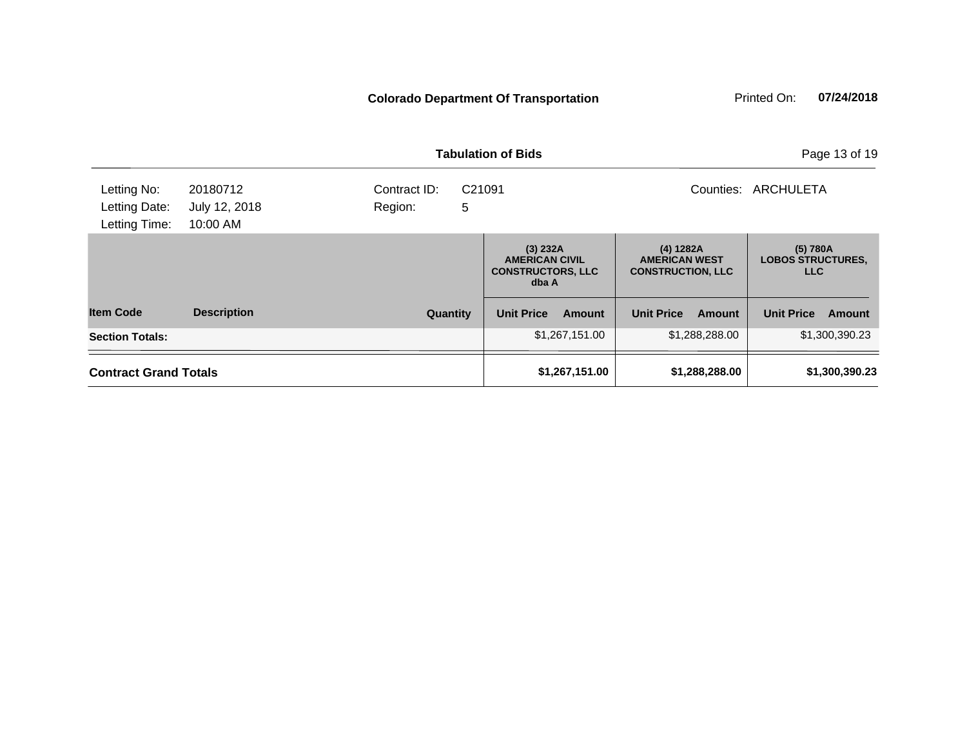|                                               |                                       |                                                    | <b>Tabulation of Bids</b>                                                                                                               |                             | Page 13 of 19                                      |
|-----------------------------------------------|---------------------------------------|----------------------------------------------------|-----------------------------------------------------------------------------------------------------------------------------------------|-----------------------------|----------------------------------------------------|
| Letting No:<br>Letting Date:<br>Letting Time: | 20180712<br>July 12, 2018<br>10:00 AM | Contract ID:<br>C <sub>21091</sub><br>5<br>Region: |                                                                                                                                         | Counties:                   | ARCHULETA                                          |
|                                               |                                       |                                                    | (3) 232A<br>(4) 1282A<br><b>AMERICAN CIVIL</b><br><b>AMERICAN WEST</b><br><b>CONSTRUCTORS, LLC</b><br><b>CONSTRUCTION, LLC</b><br>dba A |                             | (5) 780A<br><b>LOBOS STRUCTURES.</b><br><b>LLC</b> |
| <b>Item Code</b>                              | <b>Description</b>                    | Quantity                                           | <b>Unit Price</b><br>Amount                                                                                                             | <b>Unit Price</b><br>Amount | <b>Unit Price</b><br>Amount                        |
| <b>Section Totals:</b>                        |                                       |                                                    | \$1,267,151.00                                                                                                                          | \$1,288,288.00              | \$1,300,390.23                                     |
| <b>Contract Grand Totals</b>                  |                                       |                                                    | \$1,267,151.00                                                                                                                          | \$1,288,288.00              | \$1,300,390.23                                     |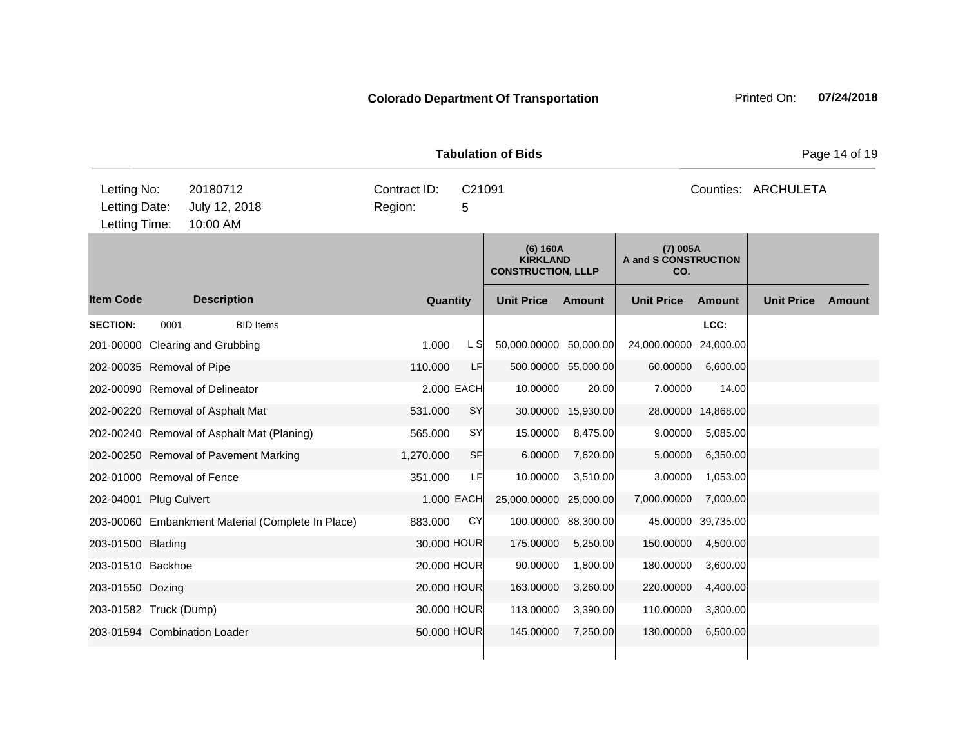| <b>Tabulation of Bids</b><br>Page 14 of 19                                             |                                        |      |                                                          |                     |                                         |                    |                     |        |  |  |  |
|----------------------------------------------------------------------------------------|----------------------------------------|------|----------------------------------------------------------|---------------------|-----------------------------------------|--------------------|---------------------|--------|--|--|--|
| Letting No:<br>20180712<br>Letting Date:<br>July 12, 2018<br>10:00 AM<br>Letting Time: | Contract ID:<br>C21091<br>Region:<br>5 |      |                                                          |                     |                                         |                    | Counties: ARCHULETA |        |  |  |  |
|                                                                                        |                                        |      | (6) 160A<br><b>KIRKLAND</b><br><b>CONSTRUCTION, LLLP</b> |                     | (7) 005A<br>A and S CONSTRUCTION<br>CO. |                    |                     |        |  |  |  |
| ltem Code<br><b>Description</b>                                                        | Quantity                               |      | <b>Unit Price</b>                                        | Amount              | <b>Unit Price</b>                       | <b>Amount</b>      | <b>Unit Price</b>   | Amount |  |  |  |
| <b>SECTION:</b><br><b>BID Items</b><br>0001                                            |                                        |      |                                                          |                     |                                         | LCC:               |                     |        |  |  |  |
| 201-00000 Clearing and Grubbing                                                        | 1.000                                  | L SI | 50,000.00000 50,000.00                                   |                     | 24,000.00000 24,000.00                  |                    |                     |        |  |  |  |
| 202-00035 Removal of Pipe                                                              | 110.000                                | LF   |                                                          | 500.00000 55,000.00 | 60.00000                                | 6,600.00           |                     |        |  |  |  |
| 202-00090 Removal of Delineator                                                        | 2.000 EACH                             |      | 10.00000                                                 | 20.00               | 7.00000                                 | 14.00              |                     |        |  |  |  |
| 202-00220 Removal of Asphalt Mat                                                       | 531.000                                | SY   |                                                          | 30.00000 15,930.00  |                                         | 28.00000 14,868.00 |                     |        |  |  |  |
| 202-00240 Removal of Asphalt Mat (Planing)                                             | 565.000                                | SY   | 15.00000                                                 | 8,475.00            | 9.00000                                 | 5,085.00           |                     |        |  |  |  |
| 202-00250 Removal of Pavement Marking                                                  | 1,270.000                              | SF   | 6.00000                                                  | 7,620.00            | 5.00000                                 | 6,350.00           |                     |        |  |  |  |
| 202-01000 Removal of Fence                                                             | 351.000                                | LF   | 10.00000                                                 | 3,510.00            | 3.00000                                 | 1,053.00           |                     |        |  |  |  |
| 202-04001 Plug Culvert                                                                 | 1.000 EACH                             |      | 25,000.00000 25,000.00                                   |                     | 7,000.00000                             | 7,000.00           |                     |        |  |  |  |
| 203-00060 Embankment Material (Complete In Place)                                      | 883.000                                | CY   |                                                          | 100.00000 88,300.00 |                                         | 45.00000 39,735.00 |                     |        |  |  |  |
| 203-01500 Blading                                                                      | 30.000 HOUR                            |      | 175.00000                                                | 5,250.00            | 150.00000                               | 4,500.00           |                     |        |  |  |  |
| 203-01510 Backhoe                                                                      | 20.000 HOUR                            |      | 90.00000                                                 | 1,800.00            | 180.00000                               | 3,600.00           |                     |        |  |  |  |
| 203-01550 Dozing                                                                       | 20.000 HOUR                            |      | 163.00000                                                | 3,260.00            | 220.00000                               | 4,400.00           |                     |        |  |  |  |
| 203-01582 Truck (Dump)                                                                 | 30.000 HOUR                            |      | 113.00000                                                | 3,390.00            | 110.00000                               | 3,300.00           |                     |        |  |  |  |
| 203-01594 Combination Loader                                                           | 50.000 HOUR                            |      | 145.00000                                                | 7,250.00            | 130.00000                               | 6,500.00           |                     |        |  |  |  |
|                                                                                        |                                        |      |                                                          |                     |                                         |                    |                     |        |  |  |  |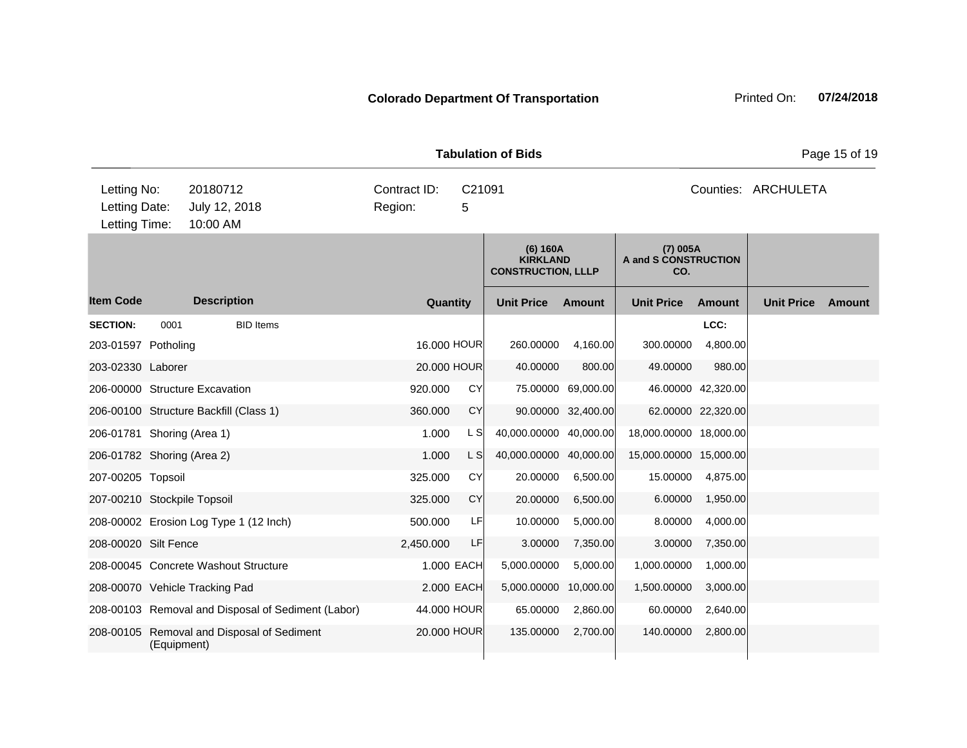| <b>Tabulation of Bids</b>                     |             |                                                                                 |                                                    |           |             |           |                                                          |                     |                                         |                    |                   | Page 15 of 19 |
|-----------------------------------------------|-------------|---------------------------------------------------------------------------------|----------------------------------------------------|-----------|-------------|-----------|----------------------------------------------------------|---------------------|-----------------------------------------|--------------------|-------------------|---------------|
| Letting No:<br>Letting Date:<br>Letting Time: |             | 20180712<br>Contract ID:<br>C21091<br>July 12, 2018<br>Region:<br>5<br>10:00 AM |                                                    |           |             |           |                                                          | Counties: ARCHULETA |                                         |                    |                   |               |
|                                               |             |                                                                                 |                                                    |           |             |           | (6) 160A<br><b>KIRKLAND</b><br><b>CONSTRUCTION, LLLP</b> |                     | (7) 005A<br>A and S CONSTRUCTION<br>CO. |                    |                   |               |
| <b>Item Code</b>                              |             | <b>Description</b>                                                              |                                                    |           | Quantity    |           | <b>Unit Price</b>                                        | <b>Amount</b>       | <b>Unit Price</b>                       | Amount             | <b>Unit Price</b> | Amount        |
| <b>SECTION:</b><br>203-01597 Potholing        | 0001        |                                                                                 | <b>BID Items</b>                                   |           | 16,000 HOUR |           | 260.00000                                                | 4,160.00            | 300.00000                               | LCC:<br>4,800.00   |                   |               |
| 203-02330 Laborer                             |             |                                                                                 |                                                    |           | 20.000 HOUR |           | 40.00000                                                 | 800.00              | 49.00000                                | 980.00             |                   |               |
| 206-00000 Structure Excavation                |             |                                                                                 |                                                    | 920.000   |             | <b>CY</b> |                                                          | 75.00000 69,000.00  |                                         | 46.00000 42,320.00 |                   |               |
| 206-00100 Structure Backfill (Class 1)        |             |                                                                                 |                                                    | 360,000   |             | <b>CY</b> |                                                          | 90.00000 32,400.00  |                                         | 62.00000 22,320.00 |                   |               |
| 206-01781 Shoring (Area 1)                    |             |                                                                                 |                                                    | 1.000     |             | L SI      | 40,000.00000 40,000.00                                   |                     | 18,000.00000 18,000.00                  |                    |                   |               |
| 206-01782 Shoring (Area 2)                    |             |                                                                                 |                                                    | 1.000     |             | L SI      | 40,000.00000 40,000.00                                   |                     | 15,000.00000 15,000.00                  |                    |                   |               |
| 207-00205 Topsoil                             |             |                                                                                 |                                                    | 325.000   |             | CY        | 20.00000                                                 | 6,500.00            | 15.00000                                | 4,875.00           |                   |               |
| 207-00210 Stockpile Topsoil                   |             |                                                                                 |                                                    | 325,000   |             | CY        | 20.00000                                                 | 6,500.00            | 6.00000                                 | 1,950.00           |                   |               |
| 208-00002 Erosion Log Type 1 (12 Inch)        |             |                                                                                 |                                                    | 500.000   |             | LF        | 10.00000                                                 | 5,000.00            | 8.00000                                 | 4,000.00           |                   |               |
| 208-00020 Silt Fence                          |             |                                                                                 |                                                    | 2,450.000 |             | LF        | 3.00000                                                  | 7,350.00            | 3.00000                                 | 7,350.00           |                   |               |
| 208-00045 Concrete Washout Structure          |             |                                                                                 |                                                    |           | 1.000 EACH  |           | 5,000.00000                                              | 5,000.00            | 1,000.00000                             | 1,000.00           |                   |               |
| 208-00070 Vehicle Tracking Pad                |             |                                                                                 |                                                    |           | 2.000 EACH  |           | 5,000.00000                                              | 10,000.00           | 1,500.00000                             | 3,000.00           |                   |               |
|                                               |             |                                                                                 | 208-00103 Removal and Disposal of Sediment (Labor) |           | 44,000 HOUR |           | 65.00000                                                 | 2,860.00            | 60.00000                                | 2,640.00           |                   |               |
|                                               | (Equipment) |                                                                                 | 208-00105 Removal and Disposal of Sediment         |           | 20.000 HOUR |           | 135.00000                                                | 2,700.00            | 140.00000                               | 2,800.00           |                   |               |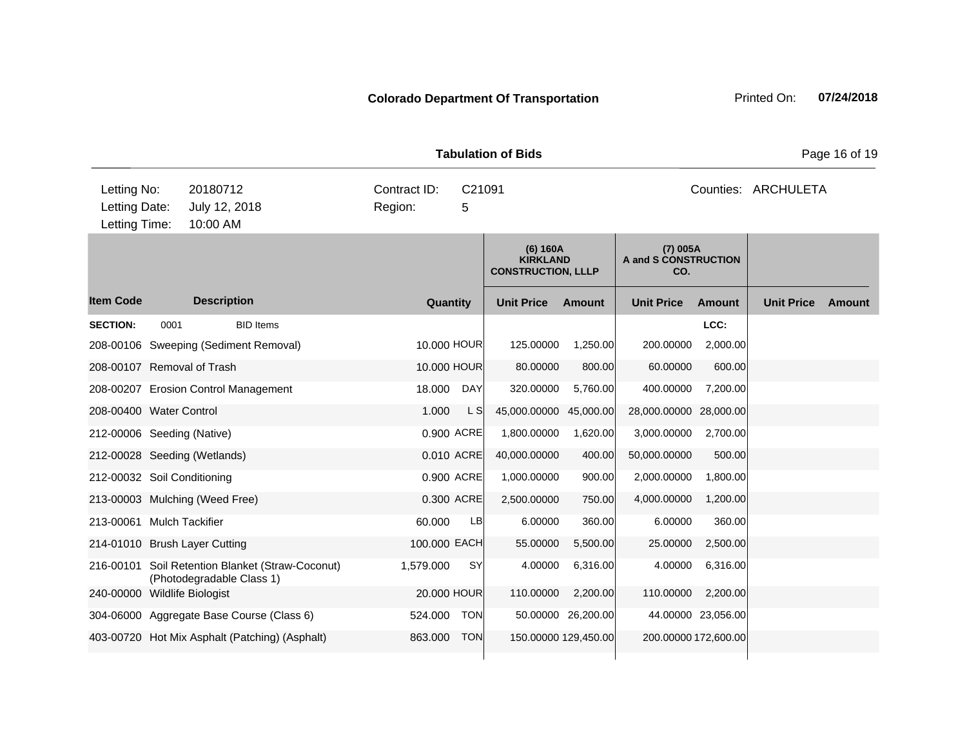| <b>Tabulation of Bids</b>                     |                                       |                                                                     |                                                    |           |              |                                                          |                      |                                           |                      |                   | Page 16 of 19 |
|-----------------------------------------------|---------------------------------------|---------------------------------------------------------------------|----------------------------------------------------|-----------|--------------|----------------------------------------------------------|----------------------|-------------------------------------------|----------------------|-------------------|---------------|
| Letting No:<br>Letting Date:<br>Letting Time: | 20180712<br>July 12, 2018<br>10:00 AM |                                                                     | Contract ID:<br>C <sub>21091</sub><br>Region:<br>5 |           |              |                                                          |                      | Counties: ARCHULETA                       |                      |                   |               |
|                                               |                                       |                                                                     |                                                    |           |              | (6) 160A<br><b>KIRKLAND</b><br><b>CONSTRUCTION, LLLP</b> |                      | $(7)$ 005A<br>A and S CONSTRUCTION<br>CO. |                      |                   |               |
| <b>Item Code</b>                              |                                       | <b>Description</b>                                                  |                                                    | Quantity  |              | <b>Unit Price</b>                                        | Amount               | <b>Unit Price</b>                         | <b>Amount</b>        | <b>Unit Price</b> | <b>Amount</b> |
| <b>SECTION:</b>                               | 0001                                  | <b>BID Items</b>                                                    |                                                    |           |              |                                                          |                      |                                           | LCC:                 |                   |               |
|                                               |                                       | 208-00106 Sweeping (Sediment Removal)                               |                                                    |           | 10.000 HOUR  | 125.00000                                                | 1,250.00             | 200.00000                                 | 2,000.00             |                   |               |
| 208-00107 Removal of Trash                    |                                       |                                                                     |                                                    |           | 10.000 HOUR  | 80.00000                                                 | 800.00               | 60.00000                                  | 600.00               |                   |               |
|                                               |                                       | 208-00207 Erosion Control Management                                |                                                    | 18.000    | DAY          | 320.00000                                                | 5,760.00             | 400.00000                                 | 7,200.00             |                   |               |
| 208-00400 Water Control                       |                                       |                                                                     |                                                    | 1.000     | L SI         | 45,000.00000                                             | 45,000.00            | 28,000.00000 28,000.00                    |                      |                   |               |
| 212-00006 Seeding (Native)                    |                                       |                                                                     |                                                    |           | 0.900 ACRE   | 1,800.00000                                              | 1,620.00             | 3,000.00000                               | 2,700.00             |                   |               |
|                                               |                                       | 212-00028 Seeding (Wetlands)                                        |                                                    |           | 0.010 ACRE   | 40,000.00000                                             | 400.00               | 50,000.00000                              | 500.00               |                   |               |
| 212-00032 Soil Conditioning                   |                                       |                                                                     |                                                    |           | 0.900 ACRE   | 1,000.00000                                              | 900.00               | 2,000.00000                               | 1,800.00             |                   |               |
|                                               |                                       | 213-00003 Mulching (Weed Free)                                      |                                                    |           | 0.300 ACRE   | 2,500.00000                                              | 750.00               | 4,000.00000                               | 1,200.00             |                   |               |
| 213-00061 Mulch Tackifier                     |                                       |                                                                     |                                                    | 60.000    | LB           | 6.00000                                                  | 360.00               | 6.00000                                   | 360.00               |                   |               |
|                                               |                                       | 214-01010 Brush Layer Cutting                                       |                                                    |           | 100.000 EACH | 55.00000                                                 | 5,500.00             | 25.00000                                  | 2,500.00             |                   |               |
| 216-00101                                     |                                       | Soil Retention Blanket (Straw-Coconut)<br>(Photodegradable Class 1) |                                                    | 1,579.000 | <b>SY</b>    | 4.00000                                                  | 6,316.00             | 4.00000                                   | 6,316.00             |                   |               |
| 240-00000 Wildlife Biologist                  |                                       |                                                                     |                                                    |           | 20,000 HOUR  | 110.00000                                                | 2,200.00             | 110.00000                                 | 2,200.00             |                   |               |
|                                               |                                       | 304-06000 Aggregate Base Course (Class 6)                           |                                                    | 524.000   | <b>TON</b>   |                                                          | 50.00000 26,200.00   |                                           | 44.00000 23,056.00   |                   |               |
|                                               |                                       | 403-00720 Hot Mix Asphalt (Patching) (Asphalt)                      |                                                    | 863.000   | <b>TON</b>   |                                                          | 150.00000 129,450.00 |                                           | 200.00000 172,600.00 |                   |               |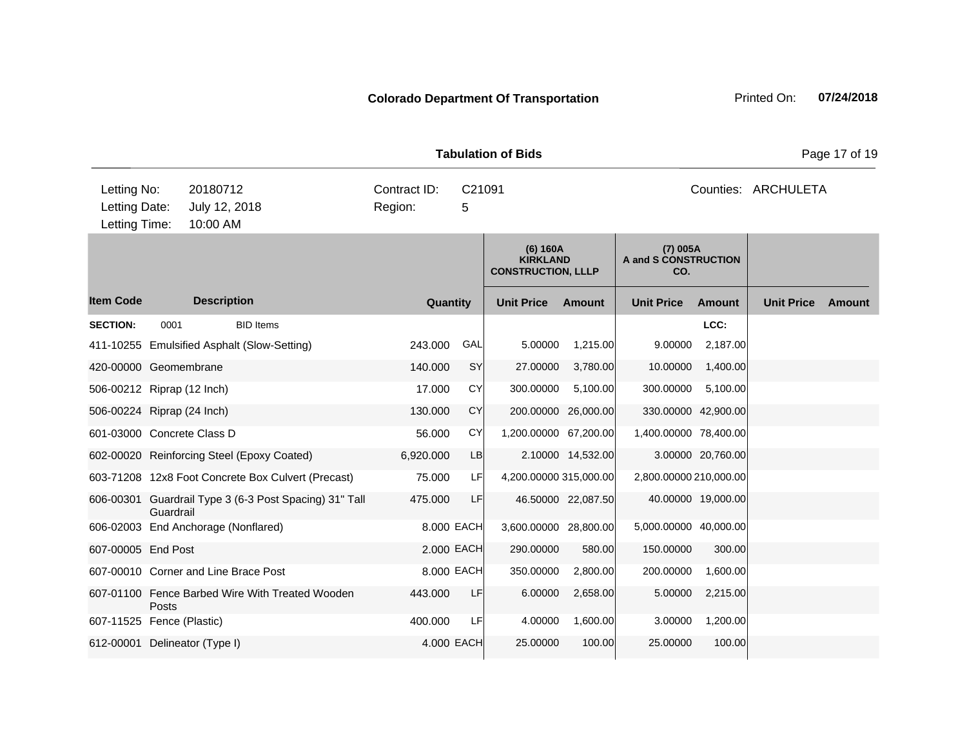|                                               | Page 17 of 19<br><b>Tabulation of Bids</b> |                                                        |                         |             |                                                          |                    |                                         |                     |                   |        |  |  |
|-----------------------------------------------|--------------------------------------------|--------------------------------------------------------|-------------------------|-------------|----------------------------------------------------------|--------------------|-----------------------------------------|---------------------|-------------------|--------|--|--|
| Letting No:<br>Letting Date:<br>Letting Time: |                                            | 20180712<br>July 12, 2018<br>10:00 AM                  | Contract ID:<br>Region: | C21091<br>5 |                                                          |                    |                                         | Counties: ARCHULETA |                   |        |  |  |
|                                               |                                            |                                                        |                         |             | (6) 160A<br><b>KIRKLAND</b><br><b>CONSTRUCTION, LLLP</b> |                    | (7) 005A<br>A and S CONSTRUCTION<br>CO. |                     |                   |        |  |  |
| <b>Item Code</b>                              |                                            | <b>Description</b>                                     | Quantity                |             | <b>Unit Price</b>                                        | Amount             | <b>Unit Price</b>                       | Amount              | <b>Unit Price</b> | Amount |  |  |
| <b>SECTION:</b>                               | 0001                                       | <b>BID Items</b>                                       |                         |             |                                                          |                    |                                         | LCC:                |                   |        |  |  |
|                                               |                                            | 411-10255 Emulsified Asphalt (Slow-Setting)            | 243.000                 | GAL         | 5.00000                                                  | 1,215.00           | 9.00000                                 | 2,187.00            |                   |        |  |  |
| 420-00000 Geomembrane                         |                                            |                                                        | 140.000                 | SY          | 27.00000                                                 | 3,780.00           | 10.00000                                | 1,400.00            |                   |        |  |  |
| 506-00212 Riprap (12 Inch)                    |                                            |                                                        | 17.000                  | CY          | 300.00000                                                | 5,100.00           | 300.00000                               | 5,100.00            |                   |        |  |  |
| 506-00224 Riprap (24 Inch)                    |                                            |                                                        | 130.000                 | <b>CY</b>   | 200.00000                                                | 26,000.00          |                                         | 330.00000 42,900.00 |                   |        |  |  |
| 601-03000 Concrete Class D                    |                                            |                                                        | 56.000                  | CY          | 1,200.00000 67,200.00                                    |                    | 1,400.00000 78,400.00                   |                     |                   |        |  |  |
|                                               |                                            | 602-00020 Reinforcing Steel (Epoxy Coated)             | 6,920.000               | LB          |                                                          | 2.10000 14,532.00  |                                         | 3.00000 20,760.00   |                   |        |  |  |
|                                               |                                            | 603-71208 12x8 Foot Concrete Box Culvert (Precast)     | 75.000                  | LF          | 4,200.00000 315,000.00                                   |                    | 2,800.00000 210,000.00                  |                     |                   |        |  |  |
|                                               | Guardrail                                  | 606-00301 Guardrail Type 3 (6-3 Post Spacing) 31" Tall | 475.000                 | LF          |                                                          | 46.50000 22,087.50 |                                         | 40.00000 19,000.00  |                   |        |  |  |
|                                               |                                            | 606-02003 End Anchorage (Nonflared)                    |                         | 8.000 EACH  | 3,600.00000 28,800.00                                    |                    | 5,000.00000 40,000.00                   |                     |                   |        |  |  |
| 607-00005 End Post                            |                                            |                                                        |                         | 2.000 EACH  | 290.00000                                                | 580.00             | 150.00000                               | 300.00              |                   |        |  |  |
|                                               |                                            | 607-00010 Corner and Line Brace Post                   |                         | 8,000 EACH  | 350.00000                                                | 2,800.00           | 200.00000                               | 1,600.00            |                   |        |  |  |
|                                               | Posts                                      | 607-01100 Fence Barbed Wire With Treated Wooden        | 443.000                 | LF          | 6.00000                                                  | 2,658.00           | 5.00000                                 | 2,215.00            |                   |        |  |  |
| 607-11525 Fence (Plastic)                     |                                            |                                                        | 400.000                 | LF          | 4.00000                                                  | 1,600.00           | 3.00000                                 | 1,200.00            |                   |        |  |  |
|                                               |                                            | 612-00001 Delineator (Type I)                          |                         | 4,000 EACH  | 25.00000                                                 | 100.00             | 25.00000                                | 100.00              |                   |        |  |  |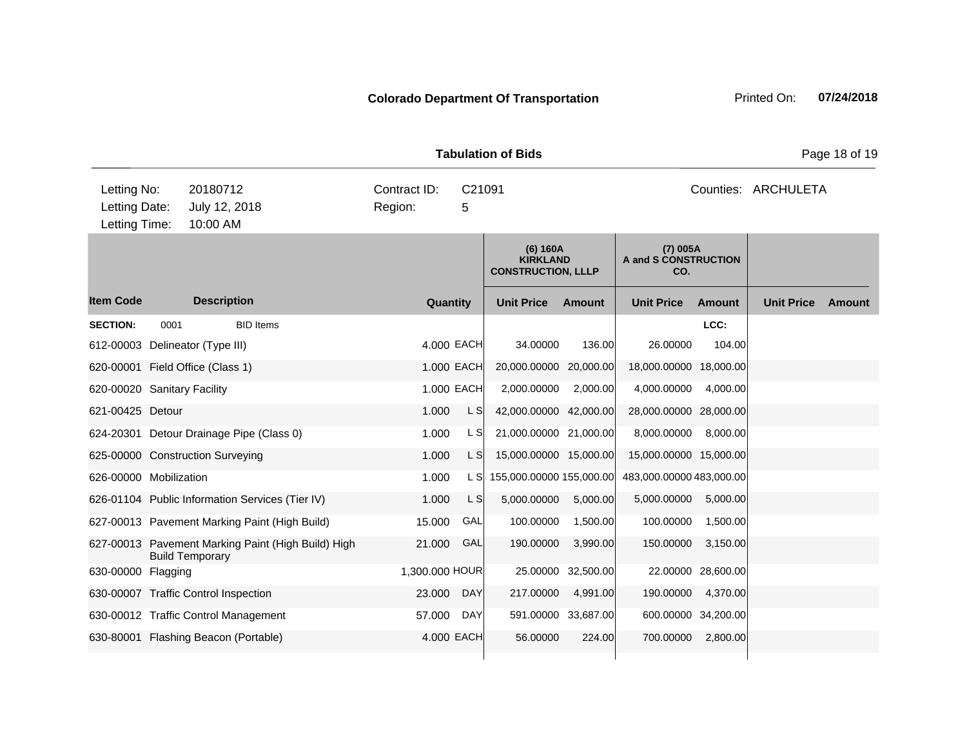| <b>Tabulation of Bids</b>                     |                                                 |                         |                                                                                                       |                          |               |                          |          |                     |               |  |  |
|-----------------------------------------------|-------------------------------------------------|-------------------------|-------------------------------------------------------------------------------------------------------|--------------------------|---------------|--------------------------|----------|---------------------|---------------|--|--|
| Letting No:<br>Letting Date:<br>Letting Time: | 20180712<br>July 12, 2018<br>10:00 AM           | Contract ID:<br>Region: | C21091<br>5                                                                                           |                          |               |                          |          | Counties: ARCHULETA |               |  |  |
|                                               |                                                 |                         | $(7)$ 005A<br>(6) 160A<br><b>KIRKLAND</b><br>A and S CONSTRUCTION<br><b>CONSTRUCTION, LLLP</b><br>CO. |                          |               |                          |          |                     |               |  |  |
| <b>Item Code</b>                              | <b>Description</b>                              | Quantity                |                                                                                                       | <b>Unit Price</b>        | <b>Amount</b> | <b>Unit Price</b>        | Amount   | <b>Unit Price</b>   | <b>Amount</b> |  |  |
| <b>SECTION:</b><br>0001                       | <b>BID</b> Items                                |                         |                                                                                                       |                          |               |                          | LCC:     |                     |               |  |  |
| 612-00003 Delineator (Type III)               |                                                 | 4,000 EACH              |                                                                                                       | 34.00000                 | 136.00        | 26.00000                 | 104.00   |                     |               |  |  |
| 620-00001 Field Office (Class 1)              |                                                 |                         | 1.000 EACH                                                                                            | 20,000.00000 20,000.00   |               | 18,000.00000 18,000.00   |          |                     |               |  |  |
| 620-00020 Sanitary Facility                   |                                                 |                         | 1.000 EACH                                                                                            | 2,000.00000              | 2,000.00      | 4,000.00000              | 4,000.00 |                     |               |  |  |
| 621-00425 Detour                              |                                                 | 1.000                   | L S                                                                                                   | 42,000.00000 42,000.00   |               | 28,000.00000 28,000.00   |          |                     |               |  |  |
|                                               | 624-20301 Detour Drainage Pipe (Class 0)        | 1.000                   | L SI                                                                                                  | 21,000.00000 21,000.00   |               | 8,000.00000              | 8,000.00 |                     |               |  |  |
|                                               | 625-00000 Construction Surveying                | 1.000                   | L S                                                                                                   | 15,000.00000 15,000.00   |               | 15,000.00000 15,000.00   |          |                     |               |  |  |
| 626-00000 Mobilization                        |                                                 | 1.000                   | L SI                                                                                                  | 155,000.00000 155,000.00 |               | 483,000.00000 483,000.00 |          |                     |               |  |  |
|                                               | 626-01104 Public Information Services (Tier IV) | 1.000                   | L S                                                                                                   | 5,000.00000              | 5,000.00      | 5,000.00000              | 5,000.00 |                     |               |  |  |
|                                               | 627-00013 Pavement Marking Paint (High Build)   | 15.000                  | GAL                                                                                                   | 100.00000                | 1,500.00      | 100.00000                | 1,500.00 |                     |               |  |  |

630-00000 Flagging 1,300.000 HOUR 25.00000 32,500.00 22.00000 28,600.00 630-00007 Traffic Control Inspection 23.000 DAY 217.00000 4,991.00 190.00000 4,370.00 630-00012 Traffic Control Management 57.000 DAY 591.00000 33,687.00 600.00000 34,200.00 630-80001 Flashing Beacon (Portable) 4.000 EACH 56.00000 224.00 700.00000 2,800.00

21.000 GAL 190.00000 3,990.00 150.00000 3,150.00

627-00013 Pavement Marking Paint (High Build) High

Build Temporary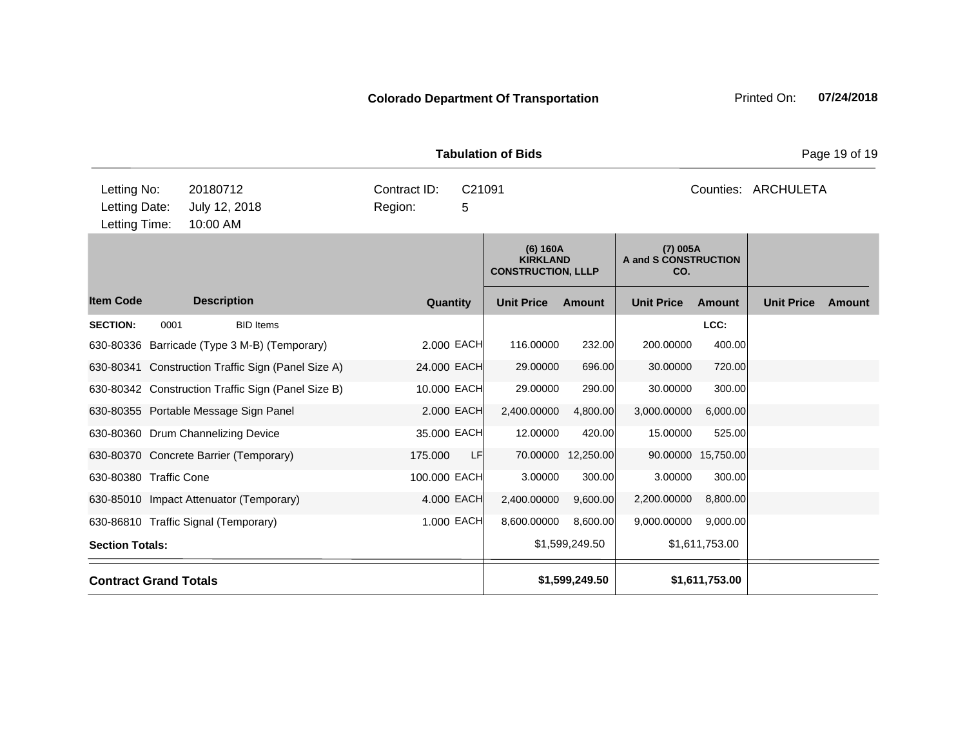| <b>Tabulation of Bids</b>                     |                                       |                                             |                         |                         |                                                          |               |                                         |           |                   | Page 19 of 19 |
|-----------------------------------------------|---------------------------------------|---------------------------------------------|-------------------------|-------------------------|----------------------------------------------------------|---------------|-----------------------------------------|-----------|-------------------|---------------|
| Letting No:<br>Letting Date:<br>Letting Time: | 20180712<br>July 12, 2018<br>10:00 AM |                                             | Contract ID:<br>Region: | C <sub>21091</sub><br>5 |                                                          |               |                                         | Counties: | ARCHULETA         |               |
|                                               |                                       |                                             |                         |                         | (6) 160A<br><b>KIRKLAND</b><br><b>CONSTRUCTION, LLLP</b> |               | (7) 005A<br>A and S CONSTRUCTION<br>CO. |           |                   |               |
| em Code                                       | <b>Description</b>                    |                                             |                         | Quantity                | <b>Unit Price</b>                                        | <b>Amount</b> | <b>Unit Price</b>                       | Amount    | <b>Unit Price</b> | Amount        |
| <b>ECTION:</b>                                | 0001                                  | <b>BID Items</b>                            |                         |                         |                                                          |               |                                         | LCC:      |                   |               |
|                                               |                                       | 30-80336 Barricade (Type 3 M-B) (Temporary) |                         | 2.000 EACH              | 116.00000                                                | 232.00        | 200,00000                               | 400.00    |                   |               |

Item Code Description Quantity Unit Price Amount Unit Price Amount Unit Price **SECTION:** 0001 BID Items **LCC:** 630-80336 Barricade (Type 3 M-B) (Temporary) 2.000 EACH 116.00000 232.00 200.00000 400.00 630-80341 Construction Traffic Sign (Panel Size A) 24.000 EACH 29.00000 696.00 30.00000 720.00 630-80342 Construction Traffic Sign (Panel Size B) 10.000 EACH 29.00000 290.00 30.00000 300.00 630-80355 Portable Message Sign Panel 2.000 EACH 2,400.00000 4,800.00 3,000.00000 6,000.00 630-80360 Drum Channelizing Device 35.000 = 35.000 EACH 12.00000 420.00 15.00000 525.00 630-80370 Concrete Barrier (Temporary) 175.000 LF 70.00000 12,250.00 90.00000 15,750.00 630-80380 Traffic Cone 100.000 EACH 3.00000 300.00 3.00000 300.00 630-85010 Impact Attenuator (Temporary) 4.000 EACH 2,400.00000 9,600.00 2,200.00000 8,800.00 630-86810 Traffic Signal (Temporary) 1.000 EACH 8,600.00000 8,600.00 9,000.0000 9,000.00 **Section Totals:** \$1,599,249.50 \$1,611,753.00 **Contract Grand Totals \$1,599,249.50 \$1,611,753.00**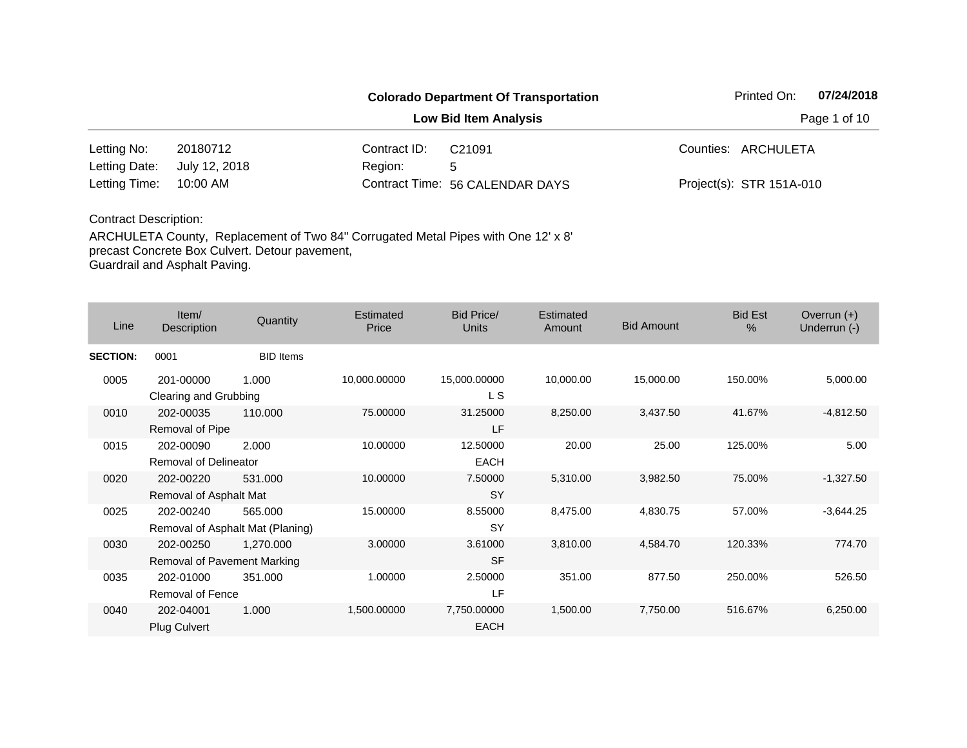|               |               | Printed On:  | 07/24/2018                      |                          |              |
|---------------|---------------|--------------|---------------------------------|--------------------------|--------------|
|               |               |              | <b>Low Bid Item Analysis</b>    |                          | Page 1 of 10 |
| Letting No:   | 20180712      | Contract ID: | C <sub>21091</sub>              | Counties: ARCHULETA      |              |
| Letting Date: | July 12, 2018 | Region:      | 5                               |                          |              |
| Letting Time: | 10:00 AM      |              | Contract Time: 56 CALENDAR DAYS | Project(s): STR 151A-010 |              |

| Line            | Item/<br>Description                     | Quantity                                    | Estimated<br>Price | Bid Price/<br><b>Units</b> | Estimated<br>Amount | <b>Bid Amount</b> | <b>Bid Est</b><br>$\%$ | Overrun $(+)$<br>Underrun (-) |
|-----------------|------------------------------------------|---------------------------------------------|--------------------|----------------------------|---------------------|-------------------|------------------------|-------------------------------|
| <b>SECTION:</b> | 0001                                     | <b>BID</b> Items                            |                    |                            |                     |                   |                        |                               |
| 0005            | 201-00000<br>Clearing and Grubbing       | 1.000                                       | 10,000.00000       | 15,000.00000<br>L S        | 10,000.00           | 15,000.00         | 150.00%                | 5,000.00                      |
| 0010            | 202-00035<br>Removal of Pipe             | 110.000                                     | 75.00000           | 31.25000<br>LF             | 8,250.00            | 3,437.50          | 41.67%                 | $-4,812.50$                   |
| 0015            | 202-00090<br>Removal of Delineator       | 2.000                                       | 10.00000           | 12.50000<br><b>EACH</b>    | 20.00               | 25.00             | 125.00%                | 5.00                          |
| 0020            | 202-00220<br>Removal of Asphalt Mat      | 531.000                                     | 10.00000           | 7.50000<br><b>SY</b>       | 5,310.00            | 3,982.50          | 75.00%                 | $-1,327.50$                   |
| 0025            | 202-00240                                | 565.000<br>Removal of Asphalt Mat (Planing) | 15.00000           | 8.55000<br><b>SY</b>       | 8,475.00            | 4,830.75          | 57.00%                 | $-3,644.25$                   |
| 0030            | 202-00250<br>Removal of Pavement Marking | 1,270.000                                   | 3.00000            | 3.61000<br><b>SF</b>       | 3,810.00            | 4,584.70          | 120.33%                | 774.70                        |
| 0035            | 202-01000<br>Removal of Fence            | 351.000                                     | 1.00000            | 2.50000<br>LF              | 351.00              | 877.50            | 250.00%                | 526.50                        |
| 0040            | 202-04001<br><b>Plug Culvert</b>         | 1.000                                       | 1,500.00000        | 7,750.00000<br><b>EACH</b> | 1,500.00            | 7,750.00          | 516.67%                | 6,250.00                      |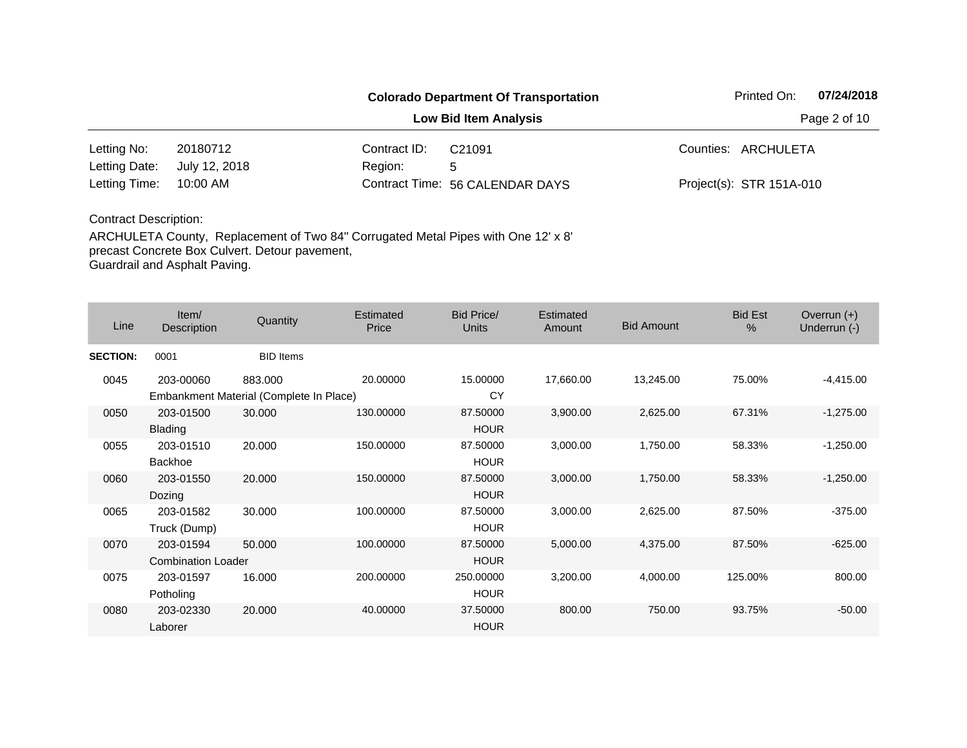|               |               | Printed On:  | 07/24/2018                      |                          |              |
|---------------|---------------|--------------|---------------------------------|--------------------------|--------------|
|               |               |              | <b>Low Bid Item Analysis</b>    |                          | Page 2 of 10 |
| Letting No:   | 20180712      | Contract ID: | C <sub>21091</sub>              | Counties: ARCHULETA      |              |
| Letting Date: | July 12, 2018 | Region:      | 5                               |                          |              |
| Letting Time: | 10:00 AM      |              | Contract Time: 56 CALENDAR DAYS | Project(s): STR 151A-010 |              |

| Line            | Item/<br>Description                   | Quantity                                           | Estimated<br>Price | Bid Price/<br><b>Units</b> | Estimated<br>Amount | <b>Bid Amount</b> | <b>Bid Est</b><br>$\%$ | Overrun $(+)$<br>Underrun (-) |
|-----------------|----------------------------------------|----------------------------------------------------|--------------------|----------------------------|---------------------|-------------------|------------------------|-------------------------------|
| <b>SECTION:</b> | 0001                                   | <b>BID</b> Items                                   |                    |                            |                     |                   |                        |                               |
| 0045            | 203-00060                              | 883.000<br>Embankment Material (Complete In Place) | 20.00000           | 15,00000<br>CY             | 17,660.00           | 13,245.00         | 75.00%                 | $-4,415.00$                   |
| 0050            | 203-01500<br>Blading                   | 30.000                                             | 130.00000          | 87.50000<br><b>HOUR</b>    | 3,900.00            | 2,625.00          | 67.31%                 | $-1,275.00$                   |
| 0055            | 203-01510<br><b>Backhoe</b>            | 20,000                                             | 150.00000          | 87.50000<br><b>HOUR</b>    | 3,000.00            | 1,750.00          | 58.33%                 | $-1,250.00$                   |
| 0060            | 203-01550<br>Dozing                    | 20,000                                             | 150.00000          | 87.50000<br><b>HOUR</b>    | 3,000.00            | 1,750.00          | 58.33%                 | $-1,250.00$                   |
| 0065            | 203-01582<br>Truck (Dump)              | 30.000                                             | 100.00000          | 87.50000<br><b>HOUR</b>    | 3,000.00            | 2,625.00          | 87.50%                 | $-375.00$                     |
| 0070            | 203-01594<br><b>Combination Loader</b> | 50.000                                             | 100.00000          | 87.50000<br><b>HOUR</b>    | 5,000.00            | 4,375.00          | 87.50%                 | $-625.00$                     |
| 0075            | 203-01597<br>Potholing                 | 16.000                                             | 200.00000          | 250,00000<br><b>HOUR</b>   | 3,200.00            | 4,000.00          | 125.00%                | 800.00                        |
| 0080            | 203-02330<br>Laborer                   | 20,000                                             | 40.00000           | 37.50000<br><b>HOUR</b>    | 800.00              | 750.00            | 93.75%                 | $-50.00$                      |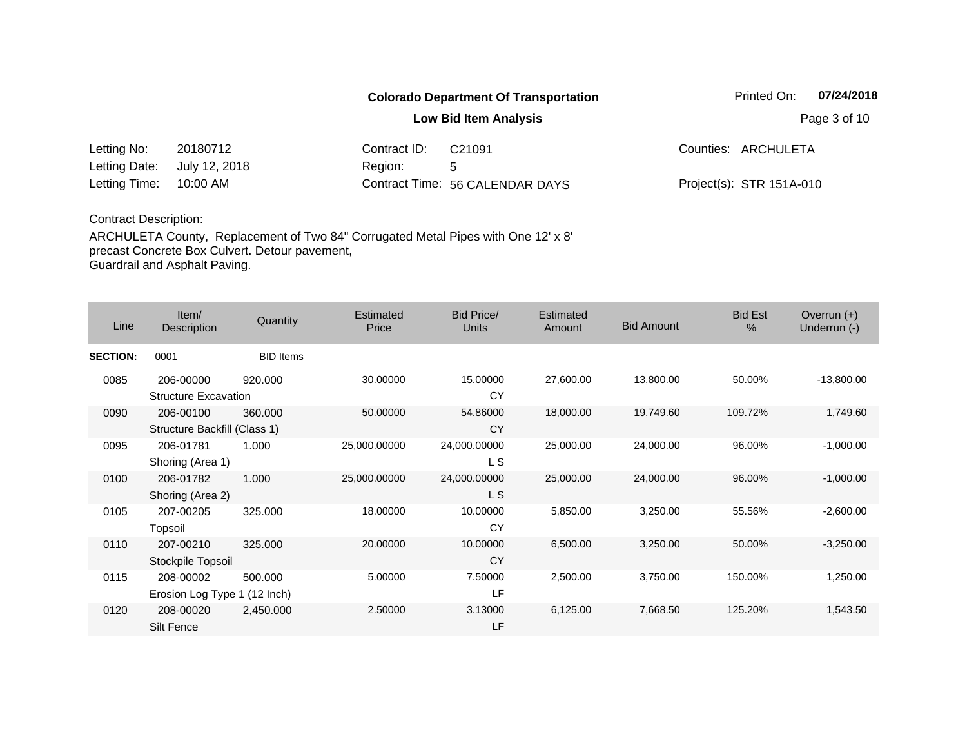|               | Printed On:   | 07/24/2018   |                                 |                          |              |
|---------------|---------------|--------------|---------------------------------|--------------------------|--------------|
|               |               |              | <b>Low Bid Item Analysis</b>    |                          | Page 3 of 10 |
| Letting No:   | 20180712      | Contract ID: | C <sub>21091</sub>              | Counties: ARCHULETA      |              |
| Letting Date: | July 12, 2018 | Region:      | 5                               |                          |              |
| Letting Time: | 10:00 AM      |              | Contract Time: 56 CALENDAR DAYS | Project(s): STR 151A-010 |              |

| Line            | Item/<br>Description                      | Quantity         | Estimated<br>Price | <b>Bid Price/</b><br><b>Units</b> | Estimated<br>Amount | <b>Bid Amount</b> | <b>Bid Est</b><br>$\%$ | Overrun $(+)$<br>Underrun (-) |
|-----------------|-------------------------------------------|------------------|--------------------|-----------------------------------|---------------------|-------------------|------------------------|-------------------------------|
| <b>SECTION:</b> | 0001                                      | <b>BID</b> Items |                    |                                   |                     |                   |                        |                               |
| 0085            | 206-00000<br><b>Structure Excavation</b>  | 920.000          | 30.00000           | 15.00000<br>CY                    | 27,600.00           | 13,800.00         | 50.00%                 | $-13,800.00$                  |
| 0090            | 206-00100<br>Structure Backfill (Class 1) | 360.000          | 50.00000           | 54.86000<br><b>CY</b>             | 18,000.00           | 19,749.60         | 109.72%                | 1,749.60                      |
| 0095            | 206-01781<br>Shoring (Area 1)             | 1.000            | 25,000.00000       | 24,000.00000<br>L S               | 25,000.00           | 24,000.00         | 96.00%                 | $-1,000.00$                   |
| 0100            | 206-01782<br>Shoring (Area 2)             | 1.000            | 25,000.00000       | 24,000.00000<br>L S               | 25,000.00           | 24,000.00         | 96.00%                 | $-1,000.00$                   |
| 0105            | 207-00205<br>Topsoil                      | 325.000          | 18.00000           | 10.00000<br>CY                    | 5,850.00            | 3,250.00          | 55.56%                 | $-2,600.00$                   |
| 0110            | 207-00210<br>Stockpile Topsoil            | 325.000          | 20.00000           | 10.00000<br><b>CY</b>             | 6,500.00            | 3,250.00          | 50.00%                 | $-3,250.00$                   |
| 0115            | 208-00002<br>Erosion Log Type 1 (12 Inch) | 500.000          | 5.00000            | 7.50000<br>LF                     | 2,500.00            | 3,750.00          | 150.00%                | 1,250.00                      |
| 0120            | 208-00020<br><b>Silt Fence</b>            | 2,450.000        | 2.50000            | 3.13000<br>LF                     | 6,125.00            | 7,668.50          | 125.20%                | 1,543.50                      |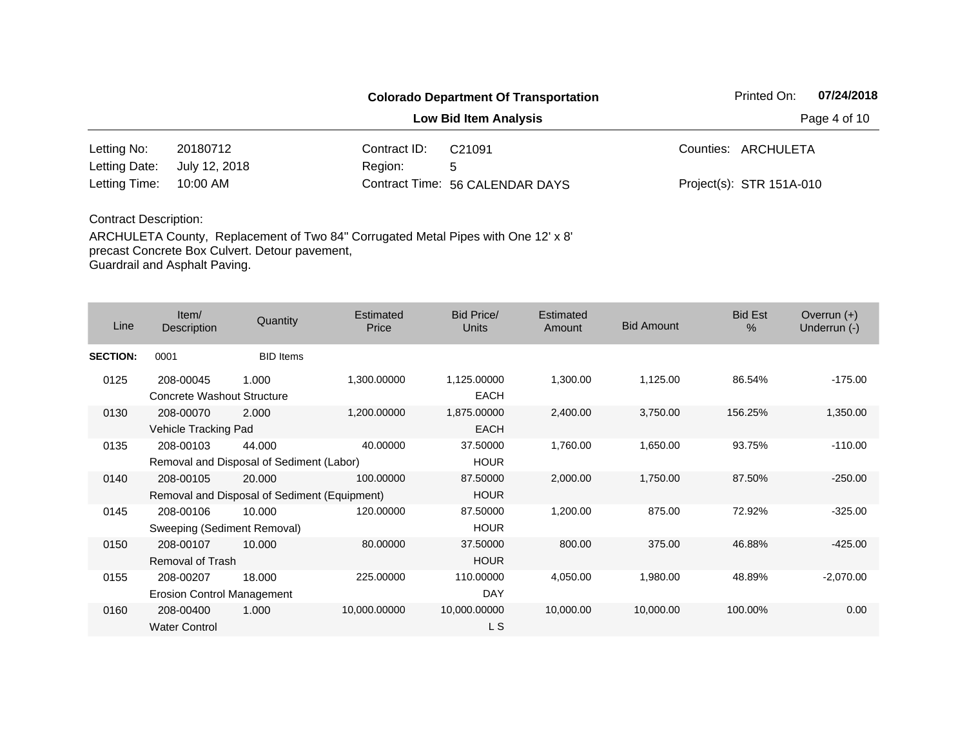|               |               | <b>Colorado Department Of Transportation</b> | Printed On:                     | 07/24/2018               |  |
|---------------|---------------|----------------------------------------------|---------------------------------|--------------------------|--|
|               |               | Page 4 of 10                                 |                                 |                          |  |
| Letting No:   | 20180712      | Contract ID:                                 | C <sub>21091</sub>              | Counties: ARCHULETA      |  |
| Letting Date: | July 12, 2018 | Region:                                      | 5                               |                          |  |
| Letting Time: | 10:00 AM      |                                              | Contract Time: 56 CALENDAR DAYS | Project(s): STR 151A-010 |  |

| Line            | Item/<br>Description                           | Quantity                                               | Estimated<br>Price | Bid Price/<br><b>Units</b> | Estimated<br>Amount | <b>Bid Amount</b> | <b>Bid Est</b><br>$\frac{0}{0}$ | Overrun $(+)$<br>Underrun (-) |
|-----------------|------------------------------------------------|--------------------------------------------------------|--------------------|----------------------------|---------------------|-------------------|---------------------------------|-------------------------------|
| <b>SECTION:</b> | 0001                                           | <b>BID</b> Items                                       |                    |                            |                     |                   |                                 |                               |
| 0125            | 208-00045<br>Concrete Washout Structure        | 1.000                                                  | 1,300.00000        | 1,125.00000<br><b>EACH</b> | 1,300.00            | 1,125.00          | 86.54%                          | $-175.00$                     |
| 0130            | 208-00070<br>Vehicle Tracking Pad              | 2.000                                                  | 1,200.00000        | 1,875.00000<br><b>EACH</b> | 2,400.00            | 3,750.00          | 156.25%                         | 1,350.00                      |
| 0135            | 208-00103                                      | 44.000<br>Removal and Disposal of Sediment (Labor)     | 40.00000           | 37.50000<br><b>HOUR</b>    | 1,760.00            | 1,650.00          | 93.75%                          | $-110.00$                     |
| 0140            | 208-00105                                      | 20,000<br>Removal and Disposal of Sediment (Equipment) | 100.00000          | 87.50000<br><b>HOUR</b>    | 2,000.00            | 1,750.00          | 87.50%                          | $-250.00$                     |
| 0145            | 208-00106<br>Sweeping (Sediment Removal)       | 10.000                                                 | 120.00000          | 87.50000<br><b>HOUR</b>    | 1,200.00            | 875.00            | 72.92%                          | $-325.00$                     |
| 0150            | 208-00107<br>Removal of Trash                  | 10.000                                                 | 80.00000           | 37.50000<br><b>HOUR</b>    | 800.00              | 375.00            | 46.88%                          | $-425.00$                     |
| 0155            | 208-00207<br><b>Erosion Control Management</b> | 18.000                                                 | 225.00000          | 110.00000<br><b>DAY</b>    | 4,050.00            | 1,980.00          | 48.89%                          | $-2,070.00$                   |
| 0160            | 208-00400<br><b>Water Control</b>              | 1.000                                                  | 10,000.00000       | 10,000.00000<br>L S        | 10,000.00           | 10,000.00         | 100.00%                         | 0.00                          |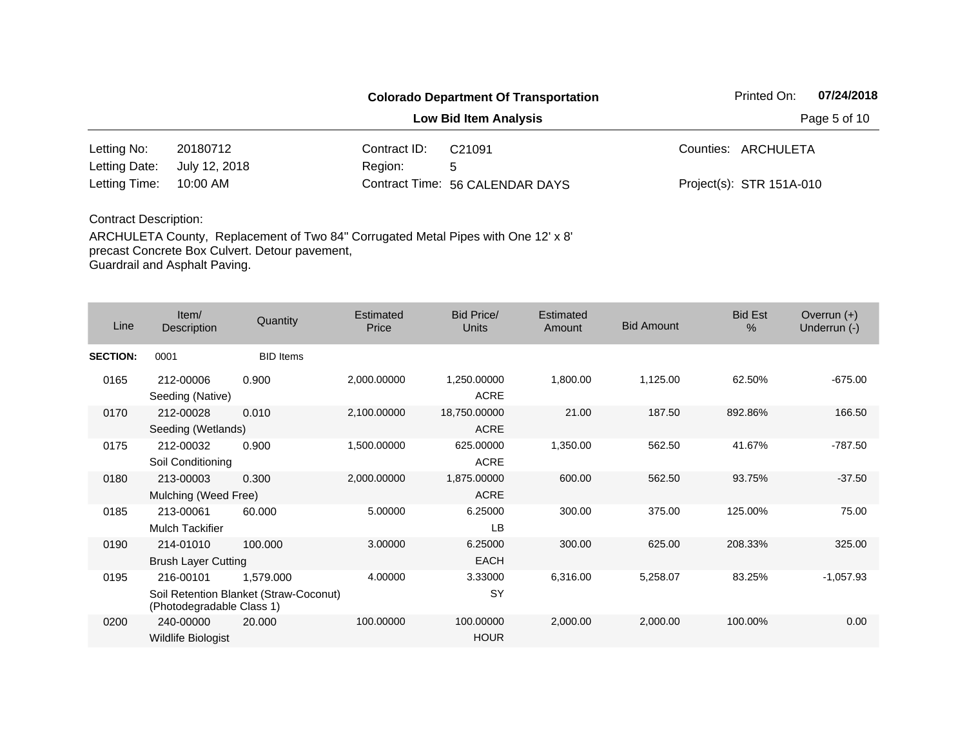|               |               |              | <b>Colorado Department Of Transportation</b> | Printed On:              | 07/24/2018 |
|---------------|---------------|--------------|----------------------------------------------|--------------------------|------------|
|               | Page 5 of 10  |              |                                              |                          |            |
| Letting No:   | 20180712      | Contract ID: | C <sub>21091</sub>                           | Counties: ARCHULETA      |            |
| Letting Date: | July 12, 2018 | Region:      | 5                                            |                          |            |
| Letting Time: | 10:00 AM      |              | Contract Time: 56 CALENDAR DAYS              | Project(s): STR 151A-010 |            |
|               |               |              |                                              |                          |            |

| Line            | Item/<br>Description                    | Quantity                                            | Estimated<br>Price | Bid Price/<br><b>Units</b>  | <b>Estimated</b><br>Amount | <b>Bid Amount</b> | <b>Bid Est</b><br>$\%$ | Overrun $(+)$<br>Underrun (-) |
|-----------------|-----------------------------------------|-----------------------------------------------------|--------------------|-----------------------------|----------------------------|-------------------|------------------------|-------------------------------|
| <b>SECTION:</b> | 0001                                    | <b>BID</b> Items                                    |                    |                             |                            |                   |                        |                               |
| 0165            | 212-00006<br>Seeding (Native)           | 0.900                                               | 2,000.00000        | 1,250.00000<br><b>ACRE</b>  | 1,800.00                   | 1,125.00          | 62.50%                 | $-675.00$                     |
| 0170            | 212-00028<br>Seeding (Wetlands)         | 0.010                                               | 2,100.00000        | 18,750.00000<br><b>ACRE</b> | 21.00                      | 187.50            | 892.86%                | 166.50                        |
| 0175            | 212-00032<br>Soil Conditioning          | 0.900                                               | 1,500.00000        | 625.00000<br><b>ACRE</b>    | 1,350.00                   | 562.50            | 41.67%                 | $-787.50$                     |
| 0180            | 213-00003<br>Mulching (Weed Free)       | 0.300                                               | 2,000.00000        | 1,875.00000<br><b>ACRE</b>  | 600.00                     | 562.50            | 93.75%                 | $-37.50$                      |
| 0185            | 213-00061<br>Mulch Tackifier            | 60,000                                              | 5.00000            | 6.25000<br>LB               | 300.00                     | 375.00            | 125.00%                | 75.00                         |
| 0190            | 214-01010<br><b>Brush Layer Cutting</b> | 100,000                                             | 3.00000            | 6.25000<br><b>EACH</b>      | 300.00                     | 625.00            | 208.33%                | 325.00                        |
| 0195            | 216-00101<br>(Photodegradable Class 1)  | 1,579.000<br>Soil Retention Blanket (Straw-Coconut) | 4.00000            | 3.33000<br><b>SY</b>        | 6,316.00                   | 5,258.07          | 83.25%                 | $-1,057.93$                   |
| 0200            | 240-00000<br>Wildlife Biologist         | 20.000                                              | 100.00000          | 100.00000<br><b>HOUR</b>    | 2,000.00                   | 2,000.00          | 100.00%                | 0.00                          |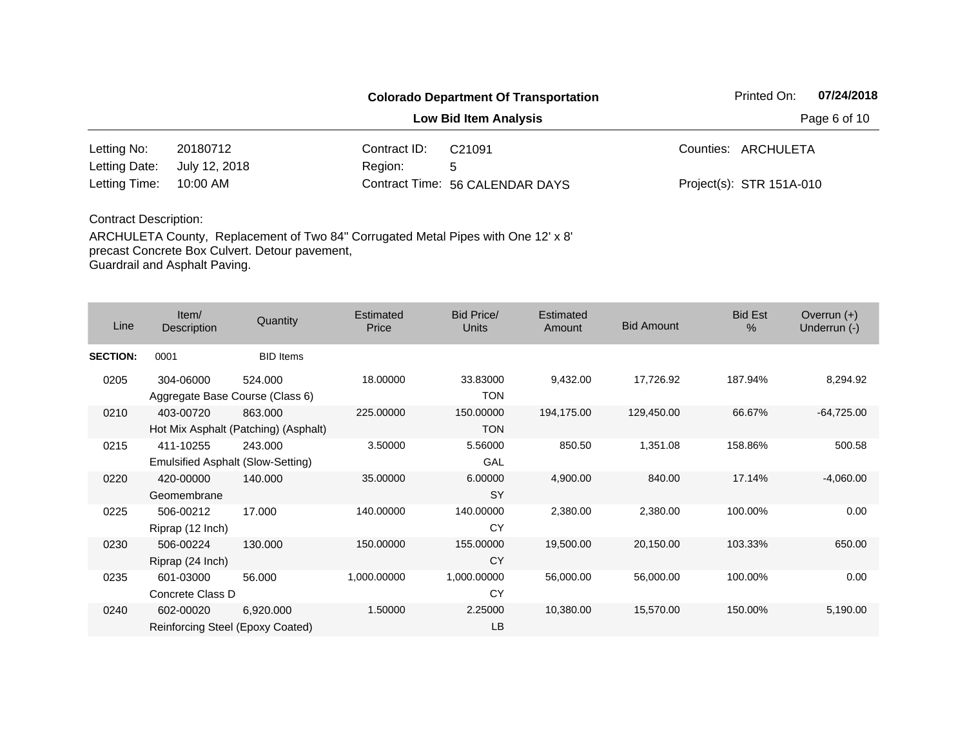|                              |                    |                                                            | 07/24/2018<br>Printed On:                    |  |  |  |
|------------------------------|--------------------|------------------------------------------------------------|----------------------------------------------|--|--|--|
| <b>Low Bid Item Analysis</b> |                    |                                                            |                                              |  |  |  |
| 20180712                     | C <sub>21091</sub> |                                                            | Counties: ARCHULETA                          |  |  |  |
| July 12, 2018                | 5                  |                                                            |                                              |  |  |  |
| 10:00 AM                     |                    |                                                            | Project(s): STR 151A-010                     |  |  |  |
|                              |                    | Contract ID:<br>Region:<br>Contract Time: 56 CALENDAR DAYS | <b>Colorado Department Of Transportation</b> |  |  |  |

| Line            | Item/<br>Description                           | Quantity                                        | Estimated<br>Price | Bid Price/<br><b>Units</b> | <b>Estimated</b><br>Amount | <b>Bid Amount</b> | <b>Bid Est</b><br>$\%$ | Overrun $(+)$<br>Underrun (-) |
|-----------------|------------------------------------------------|-------------------------------------------------|--------------------|----------------------------|----------------------------|-------------------|------------------------|-------------------------------|
| <b>SECTION:</b> | 0001                                           | <b>BID</b> Items                                |                    |                            |                            |                   |                        |                               |
| 0205            | 304-06000<br>Aggregate Base Course (Class 6)   | 524.000                                         | 18.00000           | 33.83000<br><b>TON</b>     | 9,432.00                   | 17,726.92         | 187.94%                | 8,294.92                      |
| 0210            | 403-00720                                      | 863.000<br>Hot Mix Asphalt (Patching) (Asphalt) | 225.00000          | 150.00000<br><b>TON</b>    | 194,175.00                 | 129,450.00        | 66.67%                 | $-64,725.00$                  |
| 0215            | 411-10255<br>Emulsified Asphalt (Slow-Setting) | 243.000                                         | 3.50000            | 5.56000<br>GAL             | 850.50                     | 1,351.08          | 158.86%                | 500.58                        |
| 0220            | 420-00000<br>Geomembrane                       | 140.000                                         | 35.00000           | 6.00000<br><b>SY</b>       | 4,900.00                   | 840.00            | 17.14%                 | $-4,060.00$                   |
| 0225            | 506-00212<br>Riprap (12 Inch)                  | 17.000                                          | 140.00000          | 140.00000<br>CY            | 2,380.00                   | 2,380.00          | 100.00%                | 0.00                          |
| 0230            | 506-00224<br>Riprap (24 Inch)                  | 130,000                                         | 150.00000          | 155.00000<br><b>CY</b>     | 19,500.00                  | 20,150.00         | 103.33%                | 650.00                        |
| 0235            | 601-03000<br>Concrete Class D                  | 56,000                                          | 1,000.00000        | 1,000.00000<br>CY          | 56,000.00                  | 56,000.00         | 100.00%                | 0.00                          |
| 0240            | 602-00020<br>Reinforcing Steel (Epoxy Coated)  | 6,920.000                                       | 1.50000            | 2.25000<br>LB              | 10,380.00                  | 15,570.00         | 150.00%                | 5,190.00                      |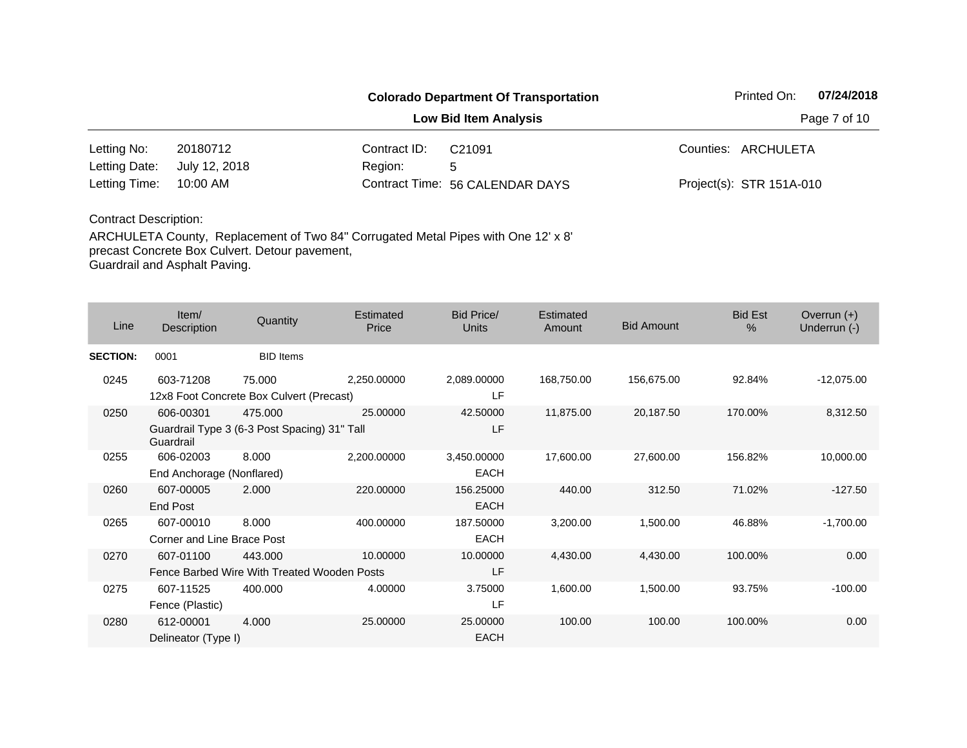|                      |               |              | <b>Colorado Department Of Transportation</b> | Printed On:              | 07/24/2018 |
|----------------------|---------------|--------------|----------------------------------------------|--------------------------|------------|
|                      |               | Page 7 of 10 |                                              |                          |            |
| Letting No:          | 20180712      | Contract ID: | C <sub>21091</sub>                           | Counties: ARCHULETA      |            |
| Letting Date:        | July 12, 2018 | Region:      | 5                                            |                          |            |
| Letting Time:        | 10:00 AM      |              | Contract Time: 56 CALENDAR DAYS              | Project(s): STR 151A-010 |            |
| Contract Description |               |              |                                              |                          |            |

| Line            | Item/<br>Description                    | Quantity                                                | Estimated<br>Price | Bid Price/<br>Units        | Estimated<br>Amount | <b>Bid Amount</b> | <b>Bid Est</b><br>$\frac{0}{0}$ | Overrun $(+)$<br>Underrun (-) |
|-----------------|-----------------------------------------|---------------------------------------------------------|--------------------|----------------------------|---------------------|-------------------|---------------------------------|-------------------------------|
| <b>SECTION:</b> | 0001                                    | <b>BID</b> Items                                        |                    |                            |                     |                   |                                 |                               |
| 0245            | 603-71208                               | 75.000<br>12x8 Foot Concrete Box Culvert (Precast)      | 2,250.00000        | 2,089.00000<br>LF          | 168,750.00          | 156,675.00        | 92.84%                          | $-12,075.00$                  |
| 0250            | 606-00301<br>Guardrail                  | 475.000<br>Guardrail Type 3 (6-3 Post Spacing) 31" Tall | 25,00000           | 42.50000<br>LF             | 11,875.00           | 20,187.50         | 170.00%                         | 8,312.50                      |
| 0255            | 606-02003<br>End Anchorage (Nonflared)  | 8.000                                                   | 2,200.00000        | 3,450.00000<br><b>EACH</b> | 17,600.00           | 27,600.00         | 156.82%                         | 10,000.00                     |
| 0260            | 607-00005<br><b>End Post</b>            | 2.000                                                   | 220.00000          | 156.25000<br><b>EACH</b>   | 440.00              | 312.50            | 71.02%                          | $-127.50$                     |
| 0265            | 607-00010<br>Corner and Line Brace Post | 8.000                                                   | 400.00000          | 187.50000<br><b>EACH</b>   | 3,200.00            | 1,500.00          | 46.88%                          | $-1,700.00$                   |
| 0270            | 607-01100                               | 443.000<br>Fence Barbed Wire With Treated Wooden Posts  | 10.00000           | 10.00000<br>LF             | 4,430.00            | 4,430.00          | 100.00%                         | 0.00                          |
| 0275            | 607-11525<br>Fence (Plastic)            | 400.000                                                 | 4.00000            | 3.75000<br>LF              | 1,600.00            | 1,500.00          | 93.75%                          | $-100.00$                     |
| 0280            | 612-00001<br>Delineator (Type I)        | 4.000                                                   | 25.00000           | 25.00000<br><b>EACH</b>    | 100.00              | 100.00            | 100.00%                         | 0.00                          |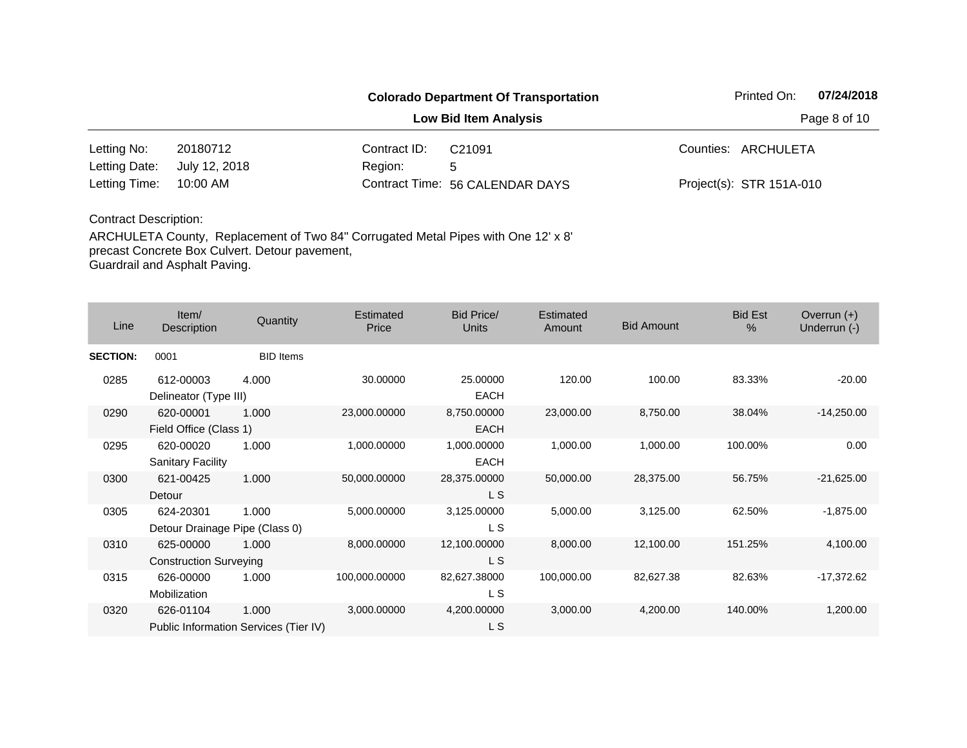|               |               |              | <b>Colorado Department Of Transportation</b> |  | Printed On:              | 07/24/2018 |
|---------------|---------------|--------------|----------------------------------------------|--|--------------------------|------------|
|               | Page 8 of 10  |              |                                              |  |                          |            |
| Letting No:   | 20180712      | Contract ID: | C <sub>21091</sub>                           |  | Counties: ARCHULETA      |            |
| Letting Date: | July 12, 2018 | Region:      | 5                                            |  |                          |            |
| Letting Time: | 10:00 AM      |              | Contract Time: 56 CALENDAR DAYS              |  | Project(s): STR 151A-010 |            |

| Line            | Item/<br>Description                               | Quantity         | Estimated<br>Price | <b>Bid Price/</b><br><b>Units</b> | Estimated<br>Amount | <b>Bid Amount</b> | <b>Bid Est</b><br>$\%$ | Overrun $(+)$<br>Underrun (-) |
|-----------------|----------------------------------------------------|------------------|--------------------|-----------------------------------|---------------------|-------------------|------------------------|-------------------------------|
| <b>SECTION:</b> | 0001                                               | <b>BID</b> Items |                    |                                   |                     |                   |                        |                               |
| 0285            | 612-00003<br>Delineator (Type III)                 | 4.000            | 30.00000           | 25.00000<br><b>EACH</b>           | 120.00              | 100.00            | 83.33%                 | $-20.00$                      |
| 0290            | 620-00001<br>Field Office (Class 1)                | 1.000            | 23,000.00000       | 8,750.00000<br><b>EACH</b>        | 23,000.00           | 8,750.00          | 38.04%                 | $-14,250.00$                  |
| 0295            | 620-00020<br><b>Sanitary Facility</b>              | 1.000            | 1,000.00000        | 1,000.00000<br><b>EACH</b>        | 1,000.00            | 1,000.00          | 100.00%                | 0.00                          |
| 0300            | 621-00425<br>Detour                                | 1.000            | 50,000.00000       | 28,375.00000<br>L S               | 50,000.00           | 28,375.00         | 56.75%                 | $-21,625.00$                  |
| 0305            | 624-20301<br>Detour Drainage Pipe (Class 0)        | 1.000            | 5,000.00000        | 3,125.00000<br>L S                | 5,000.00            | 3,125.00          | 62.50%                 | $-1,875.00$                   |
| 0310            | 625-00000<br><b>Construction Surveying</b>         | 1.000            | 8,000.00000        | 12,100.00000<br>L S               | 8,000.00            | 12,100.00         | 151.25%                | 4,100.00                      |
| 0315            | 626-00000<br>Mobilization                          | 1.000            | 100,000.00000      | 82,627.38000<br>L S               | 100,000.00          | 82,627.38         | 82.63%                 | $-17,372.62$                  |
| 0320            | 626-01104<br>Public Information Services (Tier IV) | 1.000            | 3,000.00000        | 4,200.00000<br>L S                | 3,000.00            | 4,200.00          | 140.00%                | 1,200.00                      |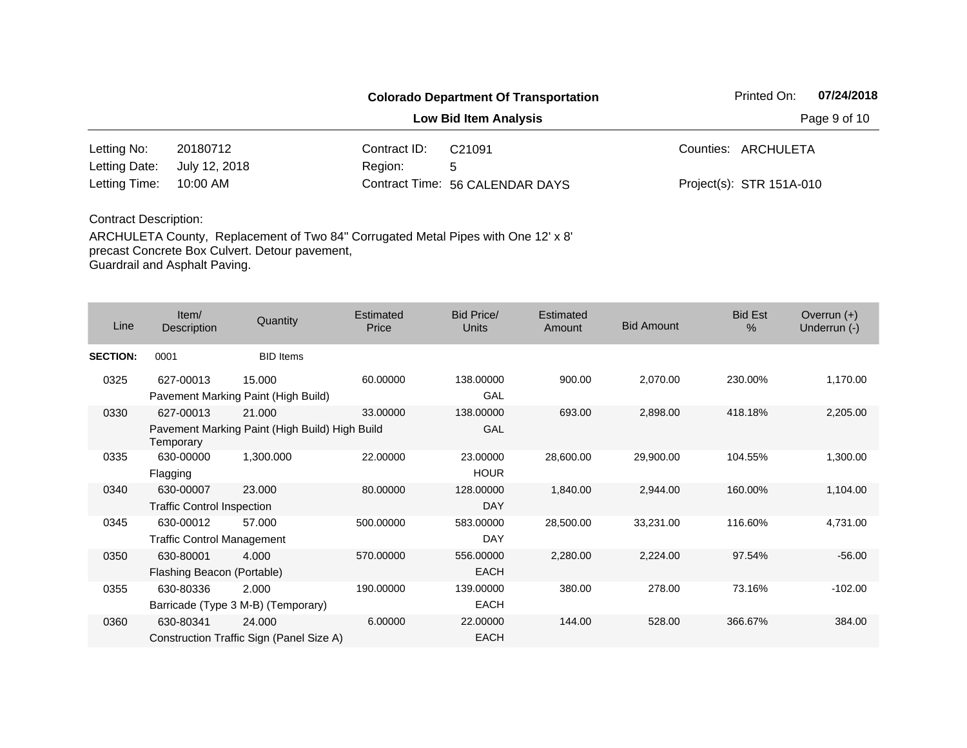|                      |               |              | <b>Colorado Department Of Transportation</b> | Printed On:              | 07/24/2018 |
|----------------------|---------------|--------------|----------------------------------------------|--------------------------|------------|
|                      |               | Page 9 of 10 |                                              |                          |            |
| Letting No:          | 20180712      | Contract ID: | C <sub>21091</sub>                           | Counties: ARCHULETA      |            |
| Letting Date:        | July 12, 2018 | Region:      | 5                                            |                          |            |
| Letting Time:        | 10:00 AM      |              | Contract Time: 56 CALENDAR DAYS              | Project(s): STR 151A-010 |            |
| Contract Description |               |              |                                              |                          |            |

| Line                              | Item/<br>Description                     | Quantity                                       | Estimated<br>Price | Bid Price/<br><b>Units</b> | Estimated<br>Amount | <b>Bid Amount</b> | <b>Bid Est</b><br>$\%$ | Overrun $(+)$<br>Underrun (-) |
|-----------------------------------|------------------------------------------|------------------------------------------------|--------------------|----------------------------|---------------------|-------------------|------------------------|-------------------------------|
| <b>SECTION:</b>                   | 0001                                     | <b>BID</b> Items                               |                    |                            |                     |                   |                        |                               |
| 0325                              | 627-00013                                | 15.000<br>Pavement Marking Paint (High Build)  | 60.00000           | 138.00000<br>GAL           | 900.00              | 2,070.00          | 230.00%                | 1,170.00                      |
| 0330                              | 627-00013                                | 21,000                                         | 33,00000           | 138.00000                  | 693.00              | 2,898.00          | 418.18%                | 2,205.00                      |
|                                   | Temporary                                | Pavement Marking Paint (High Build) High Build |                    | GAL                        |                     |                   |                        |                               |
| 0335                              | 630-00000                                | 1,300.000                                      | 22.00000           | 23.00000                   | 28,600.00           | 29,900.00         | 104.55%                | 1,300.00                      |
|                                   | Flagging                                 |                                                |                    | <b>HOUR</b>                |                     |                   |                        |                               |
| 0340                              | 630-00007                                | 23.000                                         | 80.00000           | 128.00000                  | 1,840.00            | 2,944.00          | 160.00%                | 1,104.00                      |
|                                   | <b>Traffic Control Inspection</b>        |                                                |                    | DAY                        |                     |                   |                        |                               |
| 0345                              | 630-00012                                | 57.000                                         | 500.00000          | 583.00000                  | 28,500.00           | 33,231.00         | 116.60%                | 4,731.00                      |
| <b>Traffic Control Management</b> |                                          |                                                |                    | <b>DAY</b>                 |                     |                   |                        |                               |
| 0350                              | 630-80001                                | 4.000                                          | 570.00000          | 556.00000                  | 2,280.00            | 2,224.00          | 97.54%                 | $-56.00$                      |
|                                   | Flashing Beacon (Portable)               |                                                |                    | <b>EACH</b>                |                     |                   |                        |                               |
| 0355                              | 630-80336                                | 2.000                                          | 190.00000          | 139.00000                  | 380.00              | 278.00            | 73.16%                 | $-102.00$                     |
|                                   |                                          | Barricade (Type 3 M-B) (Temporary)             |                    | <b>EACH</b>                |                     |                   |                        |                               |
| 0360                              | 630-80341                                | 24.000                                         | 6.00000            | 22.00000                   | 144.00              | 528.00            | 366.67%                | 384.00                        |
|                                   | Construction Traffic Sign (Panel Size A) |                                                |                    | <b>EACH</b>                |                     |                   |                        |                               |